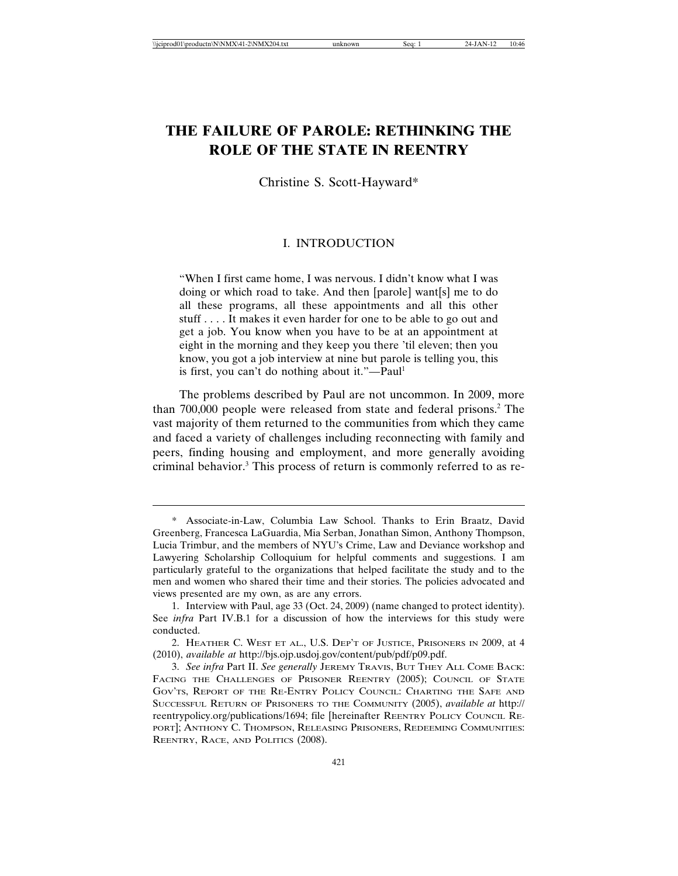# **THE FAILURE OF PAROLE: RETHINKING THE ROLE OF THE STATE IN REENTRY**

Christine S. Scott-Hayward\*

## I. INTRODUCTION

"When I first came home, I was nervous. I didn't know what I was doing or which road to take. And then [parole] want[s] me to do all these programs, all these appointments and all this other stuff . . . . It makes it even harder for one to be able to go out and get a job. You know when you have to be at an appointment at eight in the morning and they keep you there 'til eleven; then you know, you got a job interview at nine but parole is telling you, this is first, you can't do nothing about it."—Paul<sup>1</sup>

The problems described by Paul are not uncommon. In 2009, more than 700,000 people were released from state and federal prisons.<sup>2</sup> The vast majority of them returned to the communities from which they came and faced a variety of challenges including reconnecting with family and peers, finding housing and employment, and more generally avoiding criminal behavior.<sup>3</sup> This process of return is commonly referred to as re-

<sup>\*</sup> Associate-in-Law, Columbia Law School. Thanks to Erin Braatz, David Greenberg, Francesca LaGuardia, Mia Serban, Jonathan Simon, Anthony Thompson, Lucia Trimbur, and the members of NYU's Crime, Law and Deviance workshop and Lawyering Scholarship Colloquium for helpful comments and suggestions. I am particularly grateful to the organizations that helped facilitate the study and to the men and women who shared their time and their stories. The policies advocated and views presented are my own, as are any errors.

<sup>1.</sup> Interview with Paul, age 33 (Oct. 24, 2009) (name changed to protect identity). See *infra* Part IV.B.1 for a discussion of how the interviews for this study were conducted.

<sup>2.</sup> HEATHER C. WEST ET AL., U.S. DEP'T OF JUSTICE, PRISONERS IN 2009, at 4 (2010), *available at* http://bjs.ojp.usdoj.gov/content/pub/pdf/p09.pdf.

<sup>3.</sup> *See infra* Part II. *See generally* JEREMY TRAVIS, BUT THEY ALL COME BACK: FACING THE CHALLENGES OF PRISONER REENTRY (2005); COUNCIL OF STATE GOV'TS, REPORT OF THE RE-ENTRY POLICY COUNCIL: CHARTING THE SAFE AND SUCCESSFUL RETURN OF PRISONERS TO THE COMMUNITY (2005), *available at* http:// reentrypolicy.org/publications/1694; file [hereinafter REENTRY POLICY COUNCIL RE-PORT]; ANTHONY C. THOMPSON, RELEASING PRISONERS, REDEEMING COMMUNITIES: REENTRY, RACE, AND POLITICS (2008).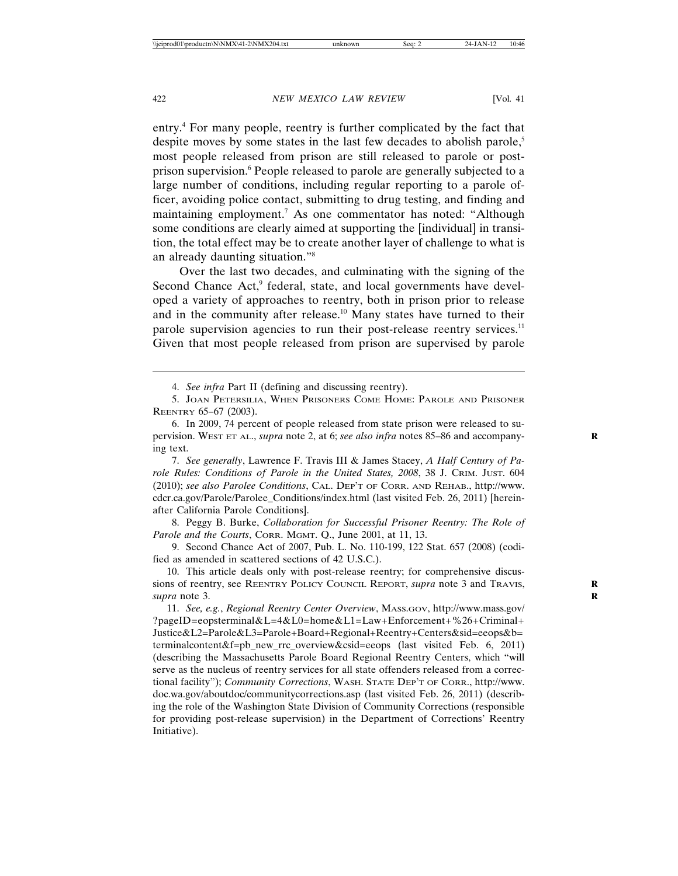entry.4 For many people, reentry is further complicated by the fact that despite moves by some states in the last few decades to abolish parole,<sup>5</sup> most people released from prison are still released to parole or postprison supervision.<sup>6</sup> People released to parole are generally subjected to a large number of conditions, including regular reporting to a parole officer, avoiding police contact, submitting to drug testing, and finding and maintaining employment.7 As one commentator has noted: "Although some conditions are clearly aimed at supporting the [individual] in transition, the total effect may be to create another layer of challenge to what is an already daunting situation."8

Over the last two decades, and culminating with the signing of the Second Chance Act,<sup>9</sup> federal, state, and local governments have developed a variety of approaches to reentry, both in prison prior to release and in the community after release.<sup>10</sup> Many states have turned to their parole supervision agencies to run their post-release reentry services.<sup>11</sup> Given that most people released from prison are supervised by parole

8. Peggy B. Burke, *Collaboration for Successful Prisoner Reentry: The Role of Parole and the Courts*, CORR. MGMT. Q., June 2001, at 11, 13.

9. Second Chance Act of 2007, Pub. L. No. 110-199, 122 Stat. 657 (2008) (codified as amended in scattered sections of 42 U.S.C.).

<sup>4.</sup> *See infra* Part II (defining and discussing reentry).

<sup>5.</sup> JOAN PETERSILIA, WHEN PRISONERS COME HOME: PAROLE AND PRISONER REENTRY 65–67 (2003).

<sup>6.</sup> In 2009, 74 percent of people released from state prison were released to supervision. WEST ET AL., *supra* note 2, at 6; *see also infra* notes 85–86 and accompany- **R** ing text.

<sup>7.</sup> *See generally*, Lawrence F. Travis III & James Stacey, *A Half Century of Parole Rules: Conditions of Parole in the United States, 2008*, 38 J. CRIM. JUST. 604 (2010); *see also Parolee Conditions*, CAL. DEP'T OF CORR. AND REHAB., http://www. cdcr.ca.gov/Parole/Parolee\_Conditions/index.html (last visited Feb. 26, 2011) [hereinafter California Parole Conditions].

<sup>10.</sup> This article deals only with post-release reentry; for comprehensive discussions of reentry, see REENTRY POLICY COUNCIL REPORT, *supra* note 3 and TRAVIS, **R** *supra* note 3. **R**

<sup>11.</sup> *See, e.g.*, *Regional Reentry Center Overview*, MASS.GOV, http://www.mass.gov/ ?pageID=eopsterminal&L=4&L0=home&L1=Law+Enforcement+%26+Criminal+ Justice&L2=Parole&L3=Parole+Board+Regional+Reentry+Centers&sid=eeops&b= terminalcontent&f=pb\_new\_rrc\_overview&csid=eeops (last visited Feb. 6, 2011) (describing the Massachusetts Parole Board Regional Reentry Centers, which "will serve as the nucleus of reentry services for all state offenders released from a correctional facility"); *Community Corrections*, WASH. STATE DEP'T OF CORR., http://www. doc.wa.gov/aboutdoc/communitycorrections.asp (last visited Feb. 26, 2011) (describing the role of the Washington State Division of Community Corrections (responsible for providing post-release supervision) in the Department of Corrections' Reentry Initiative).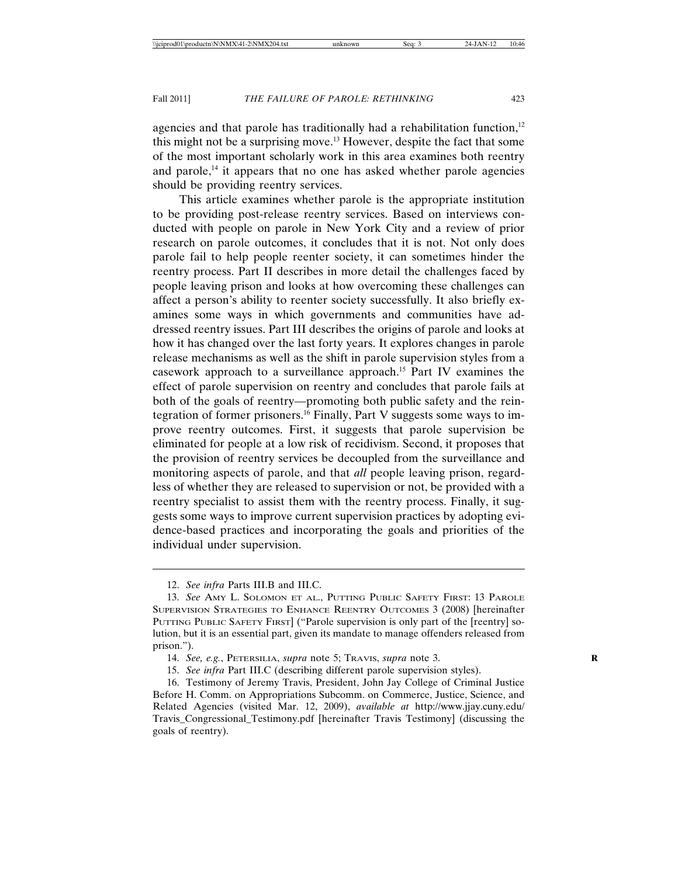agencies and that parole has traditionally had a rehabilitation function,<sup>12</sup> this might not be a surprising move.13 However, despite the fact that some of the most important scholarly work in this area examines both reentry and parole, $^{14}$  it appears that no one has asked whether parole agencies should be providing reentry services.

This article examines whether parole is the appropriate institution to be providing post-release reentry services. Based on interviews conducted with people on parole in New York City and a review of prior research on parole outcomes, it concludes that it is not. Not only does parole fail to help people reenter society, it can sometimes hinder the reentry process. Part II describes in more detail the challenges faced by people leaving prison and looks at how overcoming these challenges can affect a person's ability to reenter society successfully. It also briefly examines some ways in which governments and communities have addressed reentry issues. Part III describes the origins of parole and looks at how it has changed over the last forty years. It explores changes in parole release mechanisms as well as the shift in parole supervision styles from a casework approach to a surveillance approach.15 Part IV examines the effect of parole supervision on reentry and concludes that parole fails at both of the goals of reentry—promoting both public safety and the reintegration of former prisoners.16 Finally, Part V suggests some ways to improve reentry outcomes. First, it suggests that parole supervision be eliminated for people at a low risk of recidivism. Second, it proposes that the provision of reentry services be decoupled from the surveillance and monitoring aspects of parole, and that *all* people leaving prison, regardless of whether they are released to supervision or not, be provided with a reentry specialist to assist them with the reentry process. Finally, it suggests some ways to improve current supervision practices by adopting evidence-based practices and incorporating the goals and priorities of the individual under supervision.

<sup>12.</sup> *See infra* Parts III.B and III.C.

<sup>13.</sup> *See* AMY L. SOLOMON ET AL., PUTTING PUBLIC SAFETY FIRST: 13 PAROLE SUPERVISION STRATEGIES TO ENHANCE REENTRY OUTCOMES 3 (2008) [hereinafter PUTTING PUBLIC SAFETY FIRST] ("Parole supervision is only part of the [reentry] solution, but it is an essential part, given its mandate to manage offenders released from prison.").

<sup>14.</sup> *See, e.g.*, PETERSILIA, *supra* note 5; TRAVIS, *supra* note 3. **R**

<sup>15.</sup> *See infra* Part III.C (describing different parole supervision styles).

<sup>16.</sup> Testimony of Jeremy Travis, President, John Jay College of Criminal Justice Before H. Comm. on Appropriations Subcomm. on Commerce, Justice, Science, and Related Agencies (visited Mar. 12, 2009), *available at* http://www.jjay.cuny.edu/ Travis\_Congressional\_Testimony.pdf [hereinafter Travis Testimony] (discussing the goals of reentry).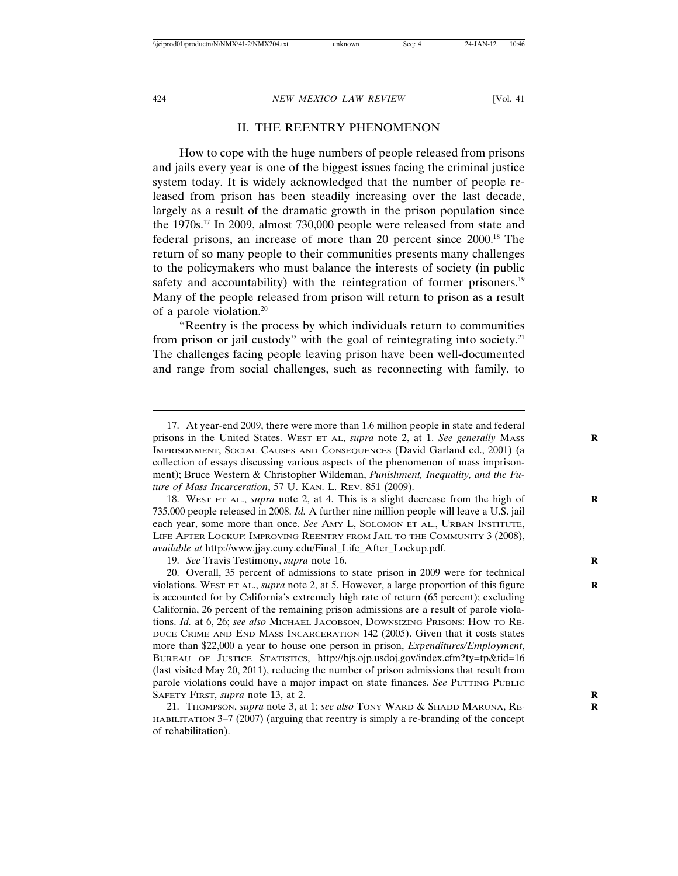## II. THE REENTRY PHENOMENON

How to cope with the huge numbers of people released from prisons and jails every year is one of the biggest issues facing the criminal justice system today. It is widely acknowledged that the number of people released from prison has been steadily increasing over the last decade, largely as a result of the dramatic growth in the prison population since the 1970s.17 In 2009, almost 730,000 people were released from state and federal prisons, an increase of more than 20 percent since 2000.18 The return of so many people to their communities presents many challenges to the policymakers who must balance the interests of society (in public safety and accountability) with the reintegration of former prisoners.<sup>19</sup> Many of the people released from prison will return to prison as a result of a parole violation.20

"Reentry is the process by which individuals return to communities from prison or jail custody" with the goal of reintegrating into society.21 The challenges facing people leaving prison have been well-documented and range from social challenges, such as reconnecting with family, to

19. *See* Travis Testimony, *supra* note 16. **R**

<sup>17.</sup> At year-end 2009, there were more than 1.6 million people in state and federal prisons in the United States. WEST ET AL, *supra* note 2, at 1. *See generally* MASS **R** IMPRISONMENT, SOCIAL CAUSES AND CONSEQUENCES (David Garland ed., 2001) (a collection of essays discussing various aspects of the phenomenon of mass imprisonment); Bruce Western & Christopher Wildeman, *Punishment, Inequality, and the Future of Mass Incarceration*, 57 U. KAN. L. REV. 851 (2009).

<sup>18.</sup> WEST ET AL., *supra* note 2, at 4. This is a slight decrease from the high of **R** 735,000 people released in 2008. *Id.* A further nine million people will leave a U.S. jail each year, some more than once. *See* AMY L, SOLOMON ET AL., URBAN INSTITUTE, LIFE AFTER LOCKUP: IMPROVING REENTRY FROM JAIL TO THE COMMUNITY 3 (2008), *available at* http://www.jjay.cuny.edu/Final\_Life\_After\_Lockup.pdf.

<sup>20.</sup> Overall, 35 percent of admissions to state prison in 2009 were for technical violations. WEST ET AL., *supra* note 2, at 5. However, a large proportion of this figure is accounted for by California's extremely high rate of return (65 percent); excluding California, 26 percent of the remaining prison admissions are a result of parole violations. *Id.* at 6, 26; *see also* MICHAEL JACOBSON, DOWNSIZING PRISONS: HOW TO RE-DUCE CRIME AND END MASS INCARCERATION 142 (2005). Given that it costs states more than \$22,000 a year to house one person in prison, *Expenditures/Employment*, BUREAU OF JUSTICE STATISTICS, http://bjs.ojp.usdoj.gov/index.cfm?ty=tp&tid=16 (last visited May 20, 2011), reducing the number of prison admissions that result from parole violations could have a major impact on state finances. *See* PUTTING PUBLIC SAFETY FIRST, *supra* note 13, at 2.

<sup>21.</sup> THOMPSON, *supra* note 3, at 1; *see also* TONY WARD & SHADD MARUNA, RE-HABILITATION 3–7 (2007) (arguing that reentry is simply a re-branding of the concept of rehabilitation).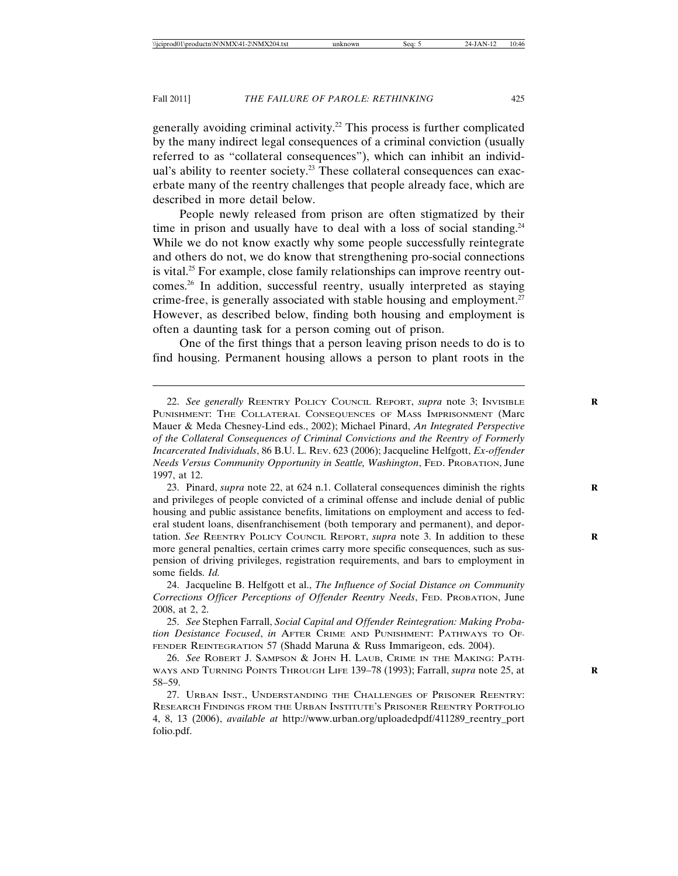generally avoiding criminal activity.<sup>22</sup> This process is further complicated by the many indirect legal consequences of a criminal conviction (usually referred to as "collateral consequences"), which can inhibit an individual's ability to reenter society.<sup>23</sup> These collateral consequences can exacerbate many of the reentry challenges that people already face, which are described in more detail below.

People newly released from prison are often stigmatized by their time in prison and usually have to deal with a loss of social standing.<sup>24</sup> While we do not know exactly why some people successfully reintegrate and others do not, we do know that strengthening pro-social connections is vital.<sup>25</sup> For example, close family relationships can improve reentry outcomes.26 In addition, successful reentry, usually interpreted as staying crime-free, is generally associated with stable housing and employment.<sup>27</sup> However, as described below, finding both housing and employment is often a daunting task for a person coming out of prison.

One of the first things that a person leaving prison needs to do is to find housing. Permanent housing allows a person to plant roots in the

24. Jacqueline B. Helfgott et al., *The Influence of Social Distance on Community Corrections Officer Perceptions of Offender Reentry Needs*, FED. PROBATION, June 2008, at 2, 2.

25. *See* Stephen Farrall, *Social Capital and Offender Reintegration: Making Probation Desistance Focused*, *in* AFTER CRIME AND PUNISHMENT: PATHWAYS TO OF-FENDER REINTEGRATION 57 (Shadd Maruna & Russ Immarigeon, eds. 2004).

26. *See* ROBERT J. SAMPSON & JOHN H. LAUB, CRIME IN THE MAKING: PATH-WAYS AND TURNING POINTS THROUGH LIFE 139–78 (1993); Farrall, *supra* note 25, at **R** 58–59.

27. URBAN INST., UNDERSTANDING THE CHALLENGES OF PRISONER REENTRY: RESEARCH FINDINGS FROM THE URBAN INSTITUTE'S PRISONER REENTRY PORTFOLIO 4, 8, 13 (2006), *available at* http://www.urban.org/uploadedpdf/411289\_reentry\_port folio.pdf.

<sup>22.</sup> *See generally* REENTRY POLICY COUNCIL REPORT, *supra* note 3; INVISIBLE **R** PUNISHMENT: THE COLLATERAL CONSEQUENCES OF MASS IMPRISONMENT (Marc Mauer & Meda Chesney-Lind eds., 2002); Michael Pinard, *An Integrated Perspective of the Collateral Consequences of Criminal Convictions and the Reentry of Formerly Incarcerated Individuals*, 86 B.U. L. REV. 623 (2006); Jacqueline Helfgott, *Ex-offender Needs Versus Community Opportunity in Seattle, Washington*, FED. PROBATION, June 1997, at 12.

<sup>23.</sup> Pinard, *supra* note 22, at 624 n.1. Collateral consequences diminish the rights **R** and privileges of people convicted of a criminal offense and include denial of public housing and public assistance benefits, limitations on employment and access to federal student loans, disenfranchisement (both temporary and permanent), and deportation. See REENTRY POLICY COUNCIL REPORT, *supra* note 3. In addition to these more general penalties, certain crimes carry more specific consequences, such as suspension of driving privileges, registration requirements, and bars to employment in some fields. *Id.*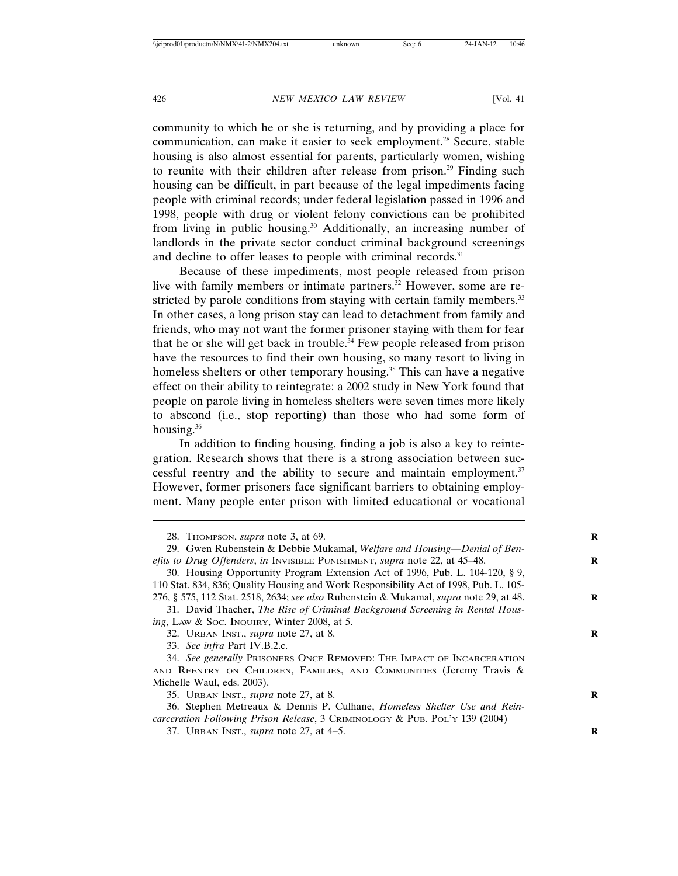community to which he or she is returning, and by providing a place for communication, can make it easier to seek employment.<sup>28</sup> Secure, stable housing is also almost essential for parents, particularly women, wishing to reunite with their children after release from prison.<sup>29</sup> Finding such housing can be difficult, in part because of the legal impediments facing people with criminal records; under federal legislation passed in 1996 and 1998, people with drug or violent felony convictions can be prohibited from living in public housing.<sup>30</sup> Additionally, an increasing number of landlords in the private sector conduct criminal background screenings and decline to offer leases to people with criminal records.<sup>31</sup>

Because of these impediments, most people released from prison live with family members or intimate partners.<sup>32</sup> However, some are restricted by parole conditions from staying with certain family members.<sup>33</sup> In other cases, a long prison stay can lead to detachment from family and friends, who may not want the former prisoner staying with them for fear that he or she will get back in trouble.<sup>34</sup> Few people released from prison have the resources to find their own housing, so many resort to living in homeless shelters or other temporary housing.<sup>35</sup> This can have a negative effect on their ability to reintegrate: a 2002 study in New York found that people on parole living in homeless shelters were seven times more likely to abscond (i.e., stop reporting) than those who had some form of housing.36

In addition to finding housing, finding a job is also a key to reintegration. Research shows that there is a strong association between successful reentry and the ability to secure and maintain employment.<sup>37</sup> However, former prisoners face significant barriers to obtaining employment. Many people enter prison with limited educational or vocational

<sup>28.</sup> THOMPSON, *supra* note 3, at 69. **R**

<sup>29.</sup> Gwen Rubenstein & Debbie Mukamal, *Welfare and Housing—Denial of Benefits to Drug Offenders*, *in* INVISIBLE PUNISHMENT, *supra* note 22, at 45–48. **R**

<sup>30.</sup> Housing Opportunity Program Extension Act of 1996, Pub. L. 104-120, § 9, 110 Stat. 834, 836; Quality Housing and Work Responsibility Act of 1998, Pub. L. 105- 276, § 575, 112 Stat. 2518, 2634; *see also* Rubenstein & Mukamal, *supra* note 29, at 48. **R**

<sup>31.</sup> David Thacher, *The Rise of Criminal Background Screening in Rental Housing*, LAW & SOC. INQUIRY, Winter 2008, at 5.

<sup>32.</sup> URBAN INST., *supra* note 27, at 8. **R**

<sup>33.</sup> *See infra* Part IV.B.2.c.

<sup>34.</sup> *See generally* PRISONERS ONCE REMOVED: THE IMPACT OF INCARCERATION AND REENTRY ON CHILDREN, FAMILIES, AND COMMUNITIES (Jeremy Travis & Michelle Waul, eds. 2003).

<sup>35.</sup> URBAN INST., *supra* note 27, at 8. **R**

<sup>36.</sup> Stephen Metreaux & Dennis P. Culhane, *Homeless Shelter Use and Reincarceration Following Prison Release*, 3 CRIMINOLOGY & PUB. POL'Y 139 (2004)

<sup>37.</sup> URBAN INST., *supra* note 27, at 4–5. **R**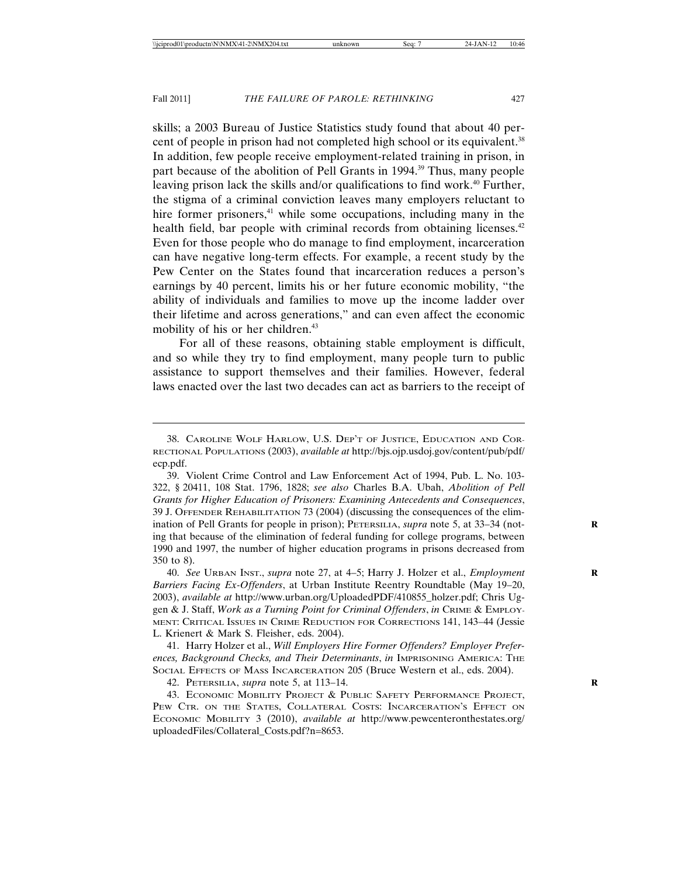skills; a 2003 Bureau of Justice Statistics study found that about 40 percent of people in prison had not completed high school or its equivalent.<sup>38</sup> In addition, few people receive employment-related training in prison, in part because of the abolition of Pell Grants in 1994.39 Thus, many people leaving prison lack the skills and/or qualifications to find work.<sup>40</sup> Further, the stigma of a criminal conviction leaves many employers reluctant to hire former prisoners,<sup>41</sup> while some occupations, including many in the health field, bar people with criminal records from obtaining licenses.<sup>42</sup> Even for those people who do manage to find employment, incarceration can have negative long-term effects. For example, a recent study by the Pew Center on the States found that incarceration reduces a person's earnings by 40 percent, limits his or her future economic mobility, "the ability of individuals and families to move up the income ladder over their lifetime and across generations," and can even affect the economic mobility of his or her children.<sup>43</sup>

For all of these reasons, obtaining stable employment is difficult, and so while they try to find employment, many people turn to public assistance to support themselves and their families. However, federal laws enacted over the last two decades can act as barriers to the receipt of

40. *See* URBAN INST., *supra* note 27, at 4–5; Harry J. Holzer et al., *Employment* **R** *Barriers Facing Ex-Offenders*, at Urban Institute Reentry Roundtable (May 19–20, 2003), *available at* http://www.urban.org/UploadedPDF/410855\_holzer.pdf; Chris Uggen & J. Staff, *Work as a Turning Point for Criminal Offenders*, *in* CRIME & EMPLOY-MENT: CRITICAL ISSUES IN CRIME REDUCTION FOR CORRECTIONS 141, 143–44 (Jessie L. Krienert & Mark S. Fleisher, eds. 2004).

41. Harry Holzer et al., *Will Employers Hire Former Offenders? Employer Preferences, Background Checks, and Their Determinants*, *in* IMPRISONING AMERICA: THE SOCIAL EFFECTS OF MASS INCARCERATION 205 (Bruce Western et al., eds. 2004).

42. PETERSILIA, *supra* note 5, at 113–14. **R**

43. ECONOMIC MOBILITY PROJECT & PUBLIC SAFETY PERFORMANCE PROJECT, PEW CTR. ON THE STATES, COLLATERAL COSTS: INCARCERATION'S EFFECT ON ECONOMIC MOBILITY 3 (2010), *available at* http://www.pewcenteronthestates.org/ uploadedFiles/Collateral\_Costs.pdf?n=8653.

<sup>38.</sup> CAROLINE WOLF HARLOW, U.S. DEP'T OF JUSTICE, EDUCATION AND COR-RECTIONAL POPULATIONS (2003), *available at* http://bjs.ojp.usdoj.gov/content/pub/pdf/ ecp.pdf.

<sup>39.</sup> Violent Crime Control and Law Enforcement Act of 1994, Pub. L. No. 103- 322, § 20411, 108 Stat. 1796, 1828; *see also* Charles B.A. Ubah, *Abolition of Pell Grants for Higher Education of Prisoners: Examining Antecedents and Consequences*, 39 J. OFFENDER REHABILITATION 73 (2004) (discussing the consequences of the elimination of Pell Grants for people in prison); PETERSILIA, *supra* note 5, at 33-34 (noting that because of the elimination of federal funding for college programs, between 1990 and 1997, the number of higher education programs in prisons decreased from 350 to 8).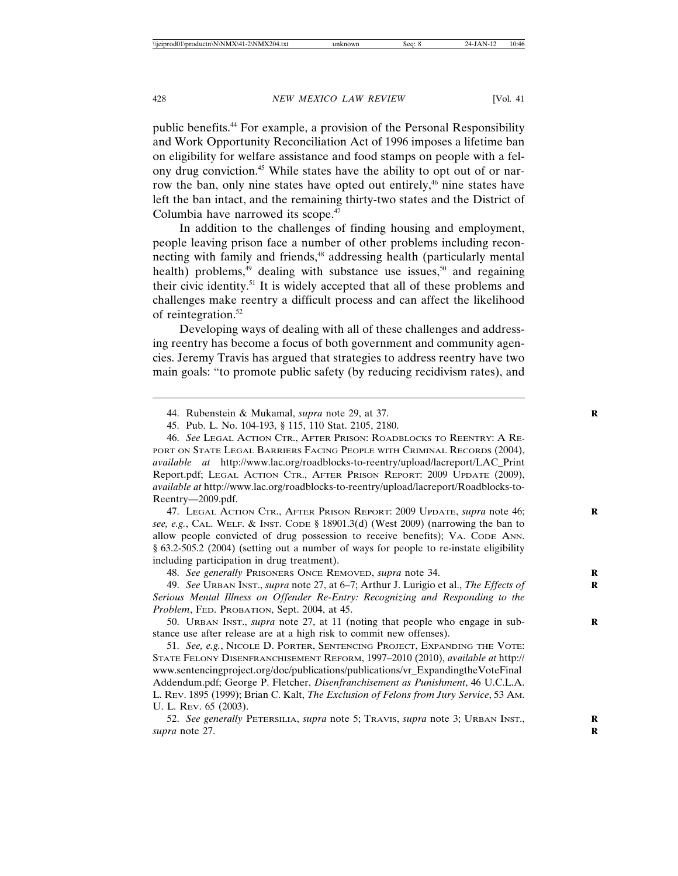public benefits.44 For example, a provision of the Personal Responsibility and Work Opportunity Reconciliation Act of 1996 imposes a lifetime ban on eligibility for welfare assistance and food stamps on people with a felony drug conviction.45 While states have the ability to opt out of or narrow the ban, only nine states have opted out entirely,<sup>46</sup> nine states have left the ban intact, and the remaining thirty-two states and the District of Columbia have narrowed its scope.<sup>47</sup>

In addition to the challenges of finding housing and employment, people leaving prison face a number of other problems including reconnecting with family and friends,<sup>48</sup> addressing health (particularly mental health) problems, $49$  dealing with substance use issues, $50$  and regaining their civic identity.51 It is widely accepted that all of these problems and challenges make reentry a difficult process and can affect the likelihood of reintegration.<sup>52</sup>

Developing ways of dealing with all of these challenges and addressing reentry has become a focus of both government and community agencies. Jeremy Travis has argued that strategies to address reentry have two main goals: "to promote public safety (by reducing recidivism rates), and

46. *See* LEGAL ACTION CTR., AFTER PRISON: ROADBLOCKS TO REENTRY: A RE-PORT ON STATE LEGAL BARRIERS FACING PEOPLE WITH CRIMINAL RECORDS (2004), *available at* http://www.lac.org/roadblocks-to-reentry/upload/lacreport/LAC\_Print Report.pdf; LEGAL ACTION CTR., AFTER PRISON REPORT: 2009 UPDATE (2009), *available at* http://www.lac.org/roadblocks-to-reentry/upload/lacreport/Roadblocks-to-Reentry—2009.pdf.

47. LEGAL ACTION CTR., AFTER PRISON REPORT: 2009 UPDATE, *supra* note 46; **R** *see, e.g.*, CAL. WELF. & INST. CODE § 18901.3(d) (West 2009) (narrowing the ban to allow people convicted of drug possession to receive benefits); VA. CODE ANN. § 63.2-505.2 (2004) (setting out a number of ways for people to re-instate eligibility including participation in drug treatment).

48. *See generally* PRISONERS ONCE REMOVED, *supra* note 34. **R**

49. *See* URBAN INST., *supra* note 27, at 6–7; Arthur J. Lurigio et al., *The Effects of* **R** *Serious Mental Illness on Offender Re-Entry: Recognizing and Responding to the Problem*, FED. PROBATION, Sept. 2004, at 45.

50. URBAN INST., *supra* note 27, at 11 (noting that people who engage in substance use after release are at a high risk to commit new offenses).

51. *See, e.g.*, NICOLE D. PORTER, SENTENCING PROJECT, EXPANDING THE VOTE: STATE FELONY DISENFRANCHISEMENT REFORM, 1997–2010 (2010), *available at* http:// www.sentencingproject.org/doc/publications/publications/vr\_ExpandingtheVoteFinal Addendum.pdf; George P. Fletcher, *Disenfranchisement as Punishment*, 46 U.C.L.A. L. REV. 1895 (1999); Brian C. Kalt, *The Exclusion of Felons from Jury Service*, 53 AM. U. L. REV. 65 (2003).

52. *See generally* PETERSILIA, *supra* note 5; TRAVIS, *supra* note 3; URBAN INST., **R** *supra* note 27. **R**

<sup>44.</sup> Rubenstein & Mukamal, *supra* note 29, at 37. **R**

<sup>45.</sup> Pub. L. No. 104-193, § 115, 110 Stat. 2105, 2180.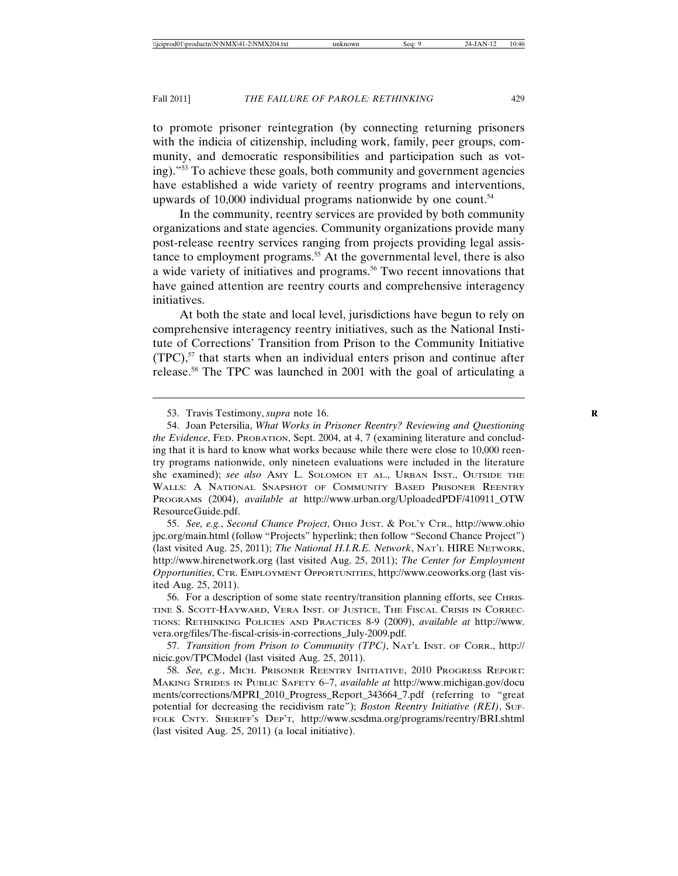to promote prisoner reintegration (by connecting returning prisoners with the indicia of citizenship, including work, family, peer groups, community, and democratic responsibilities and participation such as voting)."53 To achieve these goals, both community and government agencies have established a wide variety of reentry programs and interventions, upwards of  $10,000$  individual programs nationwide by one count.<sup>54</sup>

In the community, reentry services are provided by both community organizations and state agencies. Community organizations provide many post-release reentry services ranging from projects providing legal assistance to employment programs.<sup>55</sup> At the governmental level, there is also a wide variety of initiatives and programs.<sup>56</sup> Two recent innovations that have gained attention are reentry courts and comprehensive interagency initiatives.

At both the state and local level, jurisdictions have begun to rely on comprehensive interagency reentry initiatives, such as the National Institute of Corrections' Transition from Prison to the Community Initiative  $(TPC)$ ,<sup>57</sup> that starts when an individual enters prison and continue after release.58 The TPC was launched in 2001 with the goal of articulating a

55. *See, e.g.*, *Second Chance Project*, OHIO JUST. & POL'Y CTR., http://www.ohio jpc.org/main.html (follow "Projects" hyperlink; then follow "Second Chance Project") (last visited Aug. 25, 2011); *The National H.I.R.E. Network*, NAT'L HIRE NETWORK, http://www.hirenetwork.org (last visited Aug. 25, 2011); *The Center for Employment Opportunities*, CTR. EMPLOYMENT OPPORTUNITIES, http://www.ceoworks.org (last visited Aug. 25, 2011).

56. For a description of some state reentry/transition planning efforts, see CHRIS-TINE S. SCOTT-HAYWARD, VERA INST. OF JUSTICE, THE FISCAL CRISIS IN CORREC-TIONS: RETHINKING POLICIES AND PRACTICES 8-9 (2009), *available at* http://www. vera.org/files/The-fiscal-crisis-in-corrections\_July-2009.pdf.

57. *Transition from Prison to Community (TPC)*, NAT'L INST. OF CORR., http:// nicic.gov/TPCModel (last visited Aug. 25, 2011).

58. *See, e.g.*, MICH. PRISONER REENTRY INITIATIVE, 2010 PROGRESS REPORT: MAKING STRIDES IN PUBLIC SAFETY 6–7, *available at* http://www.michigan.gov/docu ments/corrections/MPRI\_2010\_Progress\_Report\_343664\_7.pdf (referring to "great potential for decreasing the recidivism rate"); *Boston Reentry Initiative (REI)*, SUF-FOLK CNTY. SHERIFF'S DEP'T, http://www.scsdma.org/programs/reentry/BRI.shtml (last visited Aug. 25, 2011) (a local initiative).

<sup>53.</sup> Travis Testimony, *supra* note 16. **R**

<sup>54.</sup> Joan Petersilia, *What Works in Prisoner Reentry? Reviewing and Questioning the Evidence*, FED. PROBATION, Sept. 2004, at 4, 7 (examining literature and concluding that it is hard to know what works because while there were close to 10,000 reentry programs nationwide, only nineteen evaluations were included in the literature she examined); *see also* AMY L. SOLOMON ET AL., URBAN INST., OUTSIDE THE WALLS: A NATIONAL SNAPSHOT OF COMMUNITY BASED PRISONER REENTRY PROGRAMS (2004), *available at* http://www.urban.org/UploadedPDF/410911\_OTW ResourceGuide.pdf.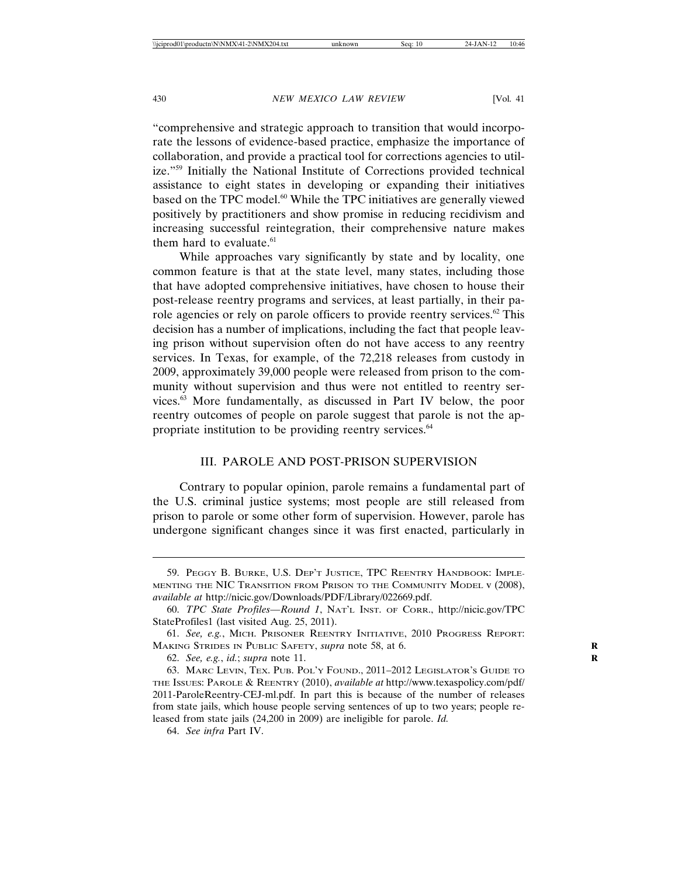"comprehensive and strategic approach to transition that would incorporate the lessons of evidence-based practice, emphasize the importance of collaboration, and provide a practical tool for corrections agencies to utilize."59 Initially the National Institute of Corrections provided technical assistance to eight states in developing or expanding their initiatives based on the TPC model.<sup>60</sup> While the TPC initiatives are generally viewed positively by practitioners and show promise in reducing recidivism and increasing successful reintegration, their comprehensive nature makes them hard to evaluate.<sup>61</sup>

While approaches vary significantly by state and by locality, one common feature is that at the state level, many states, including those that have adopted comprehensive initiatives, have chosen to house their post-release reentry programs and services, at least partially, in their parole agencies or rely on parole officers to provide reentry services.<sup>62</sup> This decision has a number of implications, including the fact that people leaving prison without supervision often do not have access to any reentry services. In Texas, for example, of the 72,218 releases from custody in 2009, approximately 39,000 people were released from prison to the community without supervision and thus were not entitled to reentry services.63 More fundamentally, as discussed in Part IV below, the poor reentry outcomes of people on parole suggest that parole is not the appropriate institution to be providing reentry services.<sup>64</sup>

## III. PAROLE AND POST-PRISON SUPERVISION

Contrary to popular opinion, parole remains a fundamental part of the U.S. criminal justice systems; most people are still released from prison to parole or some other form of supervision. However, parole has undergone significant changes since it was first enacted, particularly in

<sup>59.</sup> PEGGY B. BURKE, U.S. DEP'T JUSTICE, TPC REENTRY HANDBOOK: IMPLE-MENTING THE NIC TRANSITION FROM PRISON TO THE COMMUNITY MODEL v (2008), *available at* http://nicic.gov/Downloads/PDF/Library/022669.pdf.

<sup>60.</sup> *TPC State Profiles—Round 1*, NAT'L INST. OF CORR., http://nicic.gov/TPC StateProfiles1 (last visited Aug. 25, 2011).

<sup>61.</sup> *See, e.g.*, MICH. PRISONER REENTRY INITIATIVE, 2010 PROGRESS REPORT: MAKING STRIDES IN PUBLIC SAFETY, *supra* note 58, at 6. **R**

<sup>62.</sup> *See, e.g.*, *id.*; *supra* note 11. **R**

<sup>63.</sup> MARC LEVIN, TEX. PUB. POL'Y FOUND., 2011–2012 LEGISLATOR'S GUIDE TO THE ISSUES: PAROLE & REENTRY (2010), *available at* http://www.texaspolicy.com/pdf/ 2011-ParoleReentry-CEJ-ml.pdf. In part this is because of the number of releases from state jails, which house people serving sentences of up to two years; people released from state jails (24,200 in 2009) are ineligible for parole. *Id.*

<sup>64.</sup> *See infra* Part IV.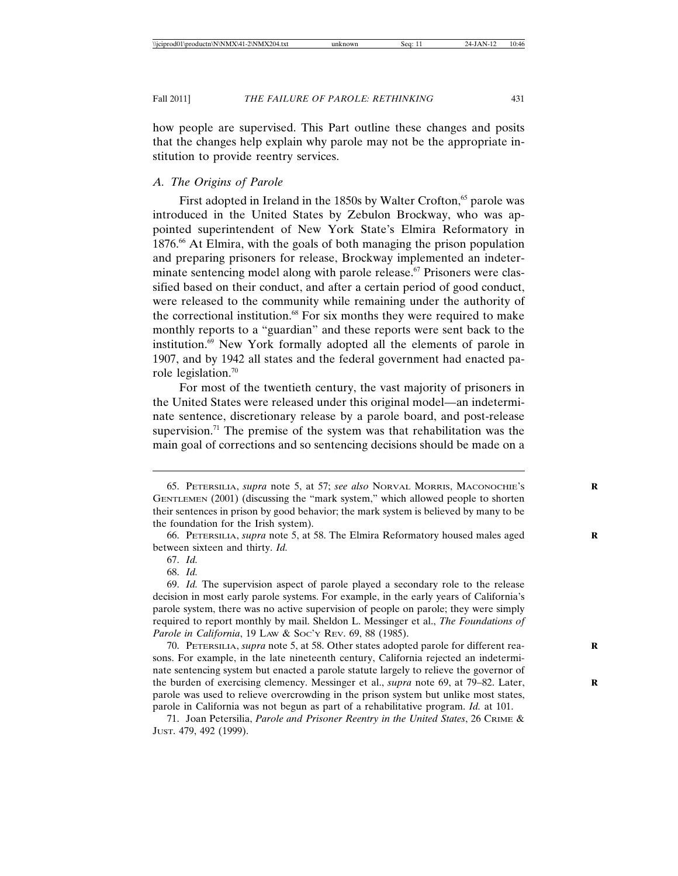how people are supervised. This Part outline these changes and posits that the changes help explain why parole may not be the appropriate institution to provide reentry services.

#### *A. The Origins of Parole*

First adopted in Ireland in the 1850s by Walter Crofton,<sup>65</sup> parole was introduced in the United States by Zebulon Brockway, who was appointed superintendent of New York State's Elmira Reformatory in 1876.<sup>66</sup> At Elmira, with the goals of both managing the prison population and preparing prisoners for release, Brockway implemented an indeterminate sentencing model along with parole release.<sup>67</sup> Prisoners were classified based on their conduct, and after a certain period of good conduct, were released to the community while remaining under the authority of the correctional institution.<sup>68</sup> For six months they were required to make monthly reports to a "guardian" and these reports were sent back to the institution.69 New York formally adopted all the elements of parole in 1907, and by 1942 all states and the federal government had enacted parole legislation.<sup>70</sup>

For most of the twentieth century, the vast majority of prisoners in the United States were released under this original model—an indeterminate sentence, discretionary release by a parole board, and post-release supervision.<sup>71</sup> The premise of the system was that rehabilitation was the main goal of corrections and so sentencing decisions should be made on a

68. *Id.*

<sup>65.</sup> PETERSILIA, *supra* note 5, at 57; *see also* NORVAL MORRIS, MACONOCHIE'S **R** GENTLEMEN (2001) (discussing the "mark system," which allowed people to shorten their sentences in prison by good behavior; the mark system is believed by many to be the foundation for the Irish system).

<sup>66.</sup> PETERSILIA, *supra* note 5, at 58. The Elmira Reformatory housed males aged **R** between sixteen and thirty. *Id.*

<sup>67.</sup> *Id.*

<sup>69.</sup> *Id.* The supervision aspect of parole played a secondary role to the release decision in most early parole systems. For example, in the early years of California's parole system, there was no active supervision of people on parole; they were simply required to report monthly by mail. Sheldon L. Messinger et al., *The Foundations of Parole in California*, 19 LAW & Soc'y REV. 69, 88 (1985).

<sup>70.</sup> PETERSILIA, *supra* note 5, at 58. Other states adopted parole for different reasons. For example, in the late nineteenth century, California rejected an indeterminate sentencing system but enacted a parole statute largely to relieve the governor of the burden of exercising clemency. Messinger et al., *supra* note 69, at 79–82. Later, **R** parole was used to relieve overcrowding in the prison system but unlike most states, parole in California was not begun as part of a rehabilitative program. *Id.* at 101.

<sup>71.</sup> Joan Petersilia, *Parole and Prisoner Reentry in the United States*, 26 CRIME & JUST. 479, 492 (1999).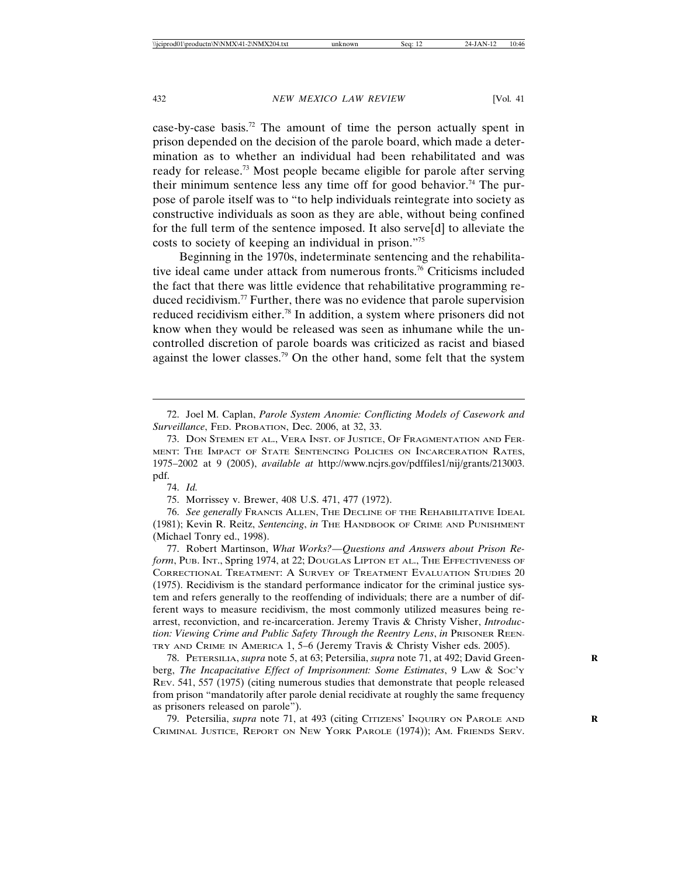case-by-case basis.72 The amount of time the person actually spent in prison depended on the decision of the parole board, which made a determination as to whether an individual had been rehabilitated and was ready for release.73 Most people became eligible for parole after serving their minimum sentence less any time off for good behavior.<sup>74</sup> The purpose of parole itself was to "to help individuals reintegrate into society as constructive individuals as soon as they are able, without being confined for the full term of the sentence imposed. It also serve[d] to alleviate the costs to society of keeping an individual in prison."75

Beginning in the 1970s, indeterminate sentencing and the rehabilitative ideal came under attack from numerous fronts.76 Criticisms included the fact that there was little evidence that rehabilitative programming reduced recidivism.<sup>77</sup> Further, there was no evidence that parole supervision reduced recidivism either.78 In addition, a system where prisoners did not know when they would be released was seen as inhumane while the uncontrolled discretion of parole boards was criticized as racist and biased against the lower classes.<sup>79</sup> On the other hand, some felt that the system

77. Robert Martinson, *What Works?—Questions and Answers about Prison Reform*, PUB. INT., Spring 1974, at 22; DOUGLAS LIPTON ET AL., THE EFFECTIVENESS OF CORRECTIONAL TREATMENT: A SURVEY OF TREATMENT EVALUATION STUDIES 20 (1975). Recidivism is the standard performance indicator for the criminal justice system and refers generally to the reoffending of individuals; there are a number of different ways to measure recidivism, the most commonly utilized measures being rearrest, reconviction, and re-incarceration. Jeremy Travis & Christy Visher, *Introduction: Viewing Crime and Public Safety Through the Reentry Lens*, *in* PRISONER REEN-TRY AND CRIME IN AMERICA 1, 5–6 (Jeremy Travis & Christy Visher eds. 2005).

78. PETERSILIA, *supra* note 5, at 63; Petersilia, *supra* note 71, at 492; David Green- **R** berg, *The Incapacitative Effect of Imprisonment: Some Estimates*, 9 LAW & Soc'y REV. 541, 557 (1975) (citing numerous studies that demonstrate that people released from prison "mandatorily after parole denial recidivate at roughly the same frequency as prisoners released on parole").

79. Petersilia, *supra* note 71, at 493 (citing CITIZENS' INQUIRY ON PAROLE AND **R** CRIMINAL JUSTICE, REPORT ON NEW YORK PAROLE (1974)); AM. FRIENDS SERV.

<sup>72.</sup> Joel M. Caplan, *Parole System Anomie: Conflicting Models of Casework and Surveillance*, FED. PROBATION, Dec. 2006, at 32, 33.

<sup>73.</sup> DON STEMEN ET AL., VERA INST. OF JUSTICE, OF FRAGMENTATION AND FER-MENT: THE IMPACT OF STATE SENTENCING POLICIES ON INCARCERATION RATES, 1975–2002 at 9 (2005), *available at* http://www.ncjrs.gov/pdffiles1/nij/grants/213003. pdf.

<sup>74.</sup> *Id.*

<sup>75.</sup> Morrissey v. Brewer, 408 U.S. 471, 477 (1972).

<sup>76.</sup> *See generally* FRANCIS ALLEN, THE DECLINE OF THE REHABILITATIVE IDEAL (1981); Kevin R. Reitz, *Sentencing*, *in* THE HANDBOOK OF CRIME AND PUNISHMENT (Michael Tonry ed., 1998).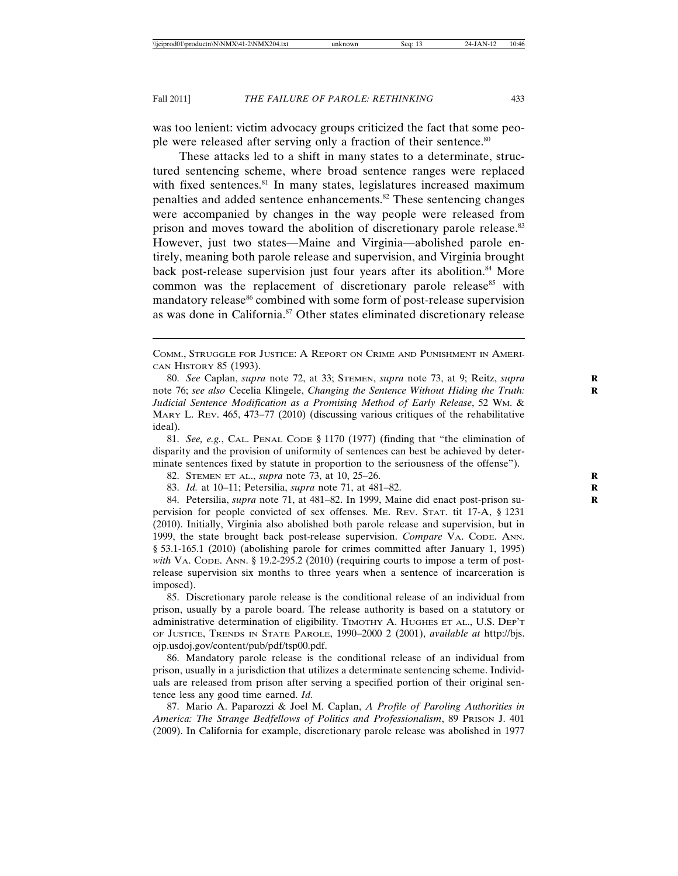was too lenient: victim advocacy groups criticized the fact that some people were released after serving only a fraction of their sentence.<sup>80</sup>

These attacks led to a shift in many states to a determinate, structured sentencing scheme, where broad sentence ranges were replaced with fixed sentences.<sup>81</sup> In many states, legislatures increased maximum penalties and added sentence enhancements.82 These sentencing changes were accompanied by changes in the way people were released from prison and moves toward the abolition of discretionary parole release.<sup>83</sup> However, just two states—Maine and Virginia—abolished parole entirely, meaning both parole release and supervision, and Virginia brought back post-release supervision just four years after its abolition.<sup>84</sup> More common was the replacement of discretionary parole release<sup>85</sup> with mandatory release<sup>86</sup> combined with some form of post-release supervision as was done in California.<sup>87</sup> Other states eliminated discretionary release

81. *See, e.g.*, CAL. PENAL CODE § 1170 (1977) (finding that "the elimination of disparity and the provision of uniformity of sentences can best be achieved by determinate sentences fixed by statute in proportion to the seriousness of the offense").

- 82. STEMEN ET AL., *supra* note 73, at 10, 25–26. **R**
- 83. *Id.* at 10–11; Petersilia, *supra* note 71, at 481–82. **R**

84. Petersilia, *supra* note 71, at 481–82. In 1999, Maine did enact post-prison su- **R** pervision for people convicted of sex offenses. ME. REV. STAT. tit 17-A, § 1231 (2010). Initially, Virginia also abolished both parole release and supervision, but in 1999, the state brought back post-release supervision. *Compare* VA. CODE. ANN. § 53.1-165.1 (2010) (abolishing parole for crimes committed after January 1, 1995) *with* VA. CODE. ANN. § 19.2-295.2 (2010) (requiring courts to impose a term of postrelease supervision six months to three years when a sentence of incarceration is imposed).

85. Discretionary parole release is the conditional release of an individual from prison, usually by a parole board. The release authority is based on a statutory or administrative determination of eligibility. TIMOTHY A. HUGHES ET AL., U.S. DEP'T OF JUSTICE, TRENDS IN STATE PAROLE, 1990–2000 2 (2001), *available at* http://bjs. ojp.usdoj.gov/content/pub/pdf/tsp00.pdf.

86. Mandatory parole release is the conditional release of an individual from prison, usually in a jurisdiction that utilizes a determinate sentencing scheme. Individuals are released from prison after serving a specified portion of their original sentence less any good time earned. *Id.*

87. Mario A. Paparozzi & Joel M. Caplan, *A Profile of Paroling Authorities in America: The Strange Bedfellows of Politics and Professionalism*, 89 PRISON J. 401 (2009). In California for example, discretionary parole release was abolished in 1977

COMM., STRUGGLE FOR JUSTICE: A REPORT ON CRIME AND PUNISHMENT IN AMERI-CAN HISTORY 85 (1993).

<sup>80.</sup> *See* Caplan, *supra* note 72, at 33; STEMEN, *supra* note 73, at 9; Reitz, *supra* note 76; *see also* Cecelia Klingele, *Changing the Sentence Without Hiding the Truth:* **R** *Judicial Sentence Modification as a Promising Method of Early Release*, 52 WM. & MARY L. REV. 465, 473–77 (2010) (discussing various critiques of the rehabilitative ideal).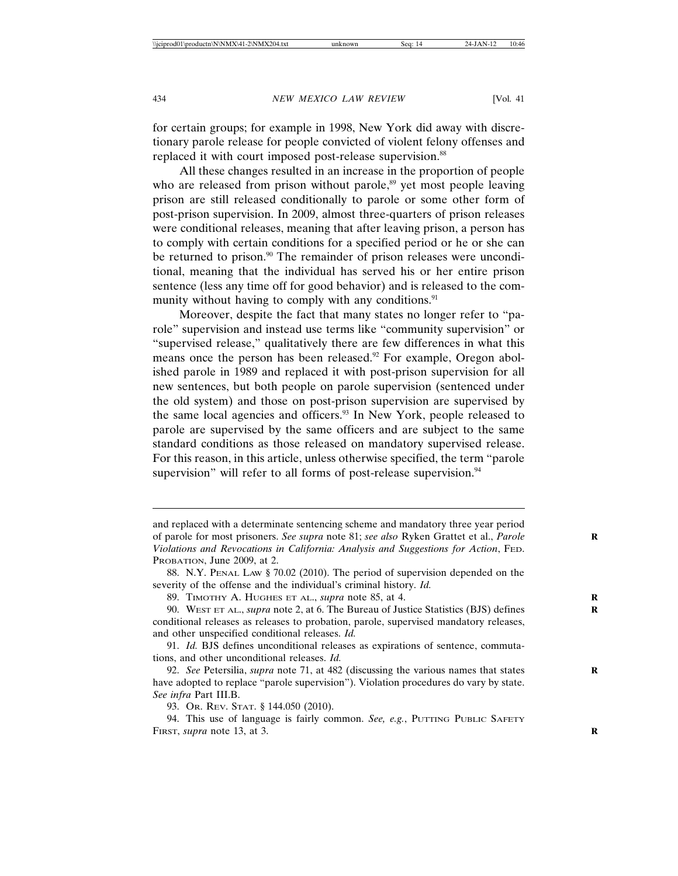for certain groups; for example in 1998, New York did away with discretionary parole release for people convicted of violent felony offenses and replaced it with court imposed post-release supervision.<sup>88</sup>

All these changes resulted in an increase in the proportion of people who are released from prison without parole,<sup>89</sup> yet most people leaving prison are still released conditionally to parole or some other form of post-prison supervision. In 2009, almost three-quarters of prison releases were conditional releases, meaning that after leaving prison, a person has to comply with certain conditions for a specified period or he or she can be returned to prison.<sup>90</sup> The remainder of prison releases were unconditional, meaning that the individual has served his or her entire prison sentence (less any time off for good behavior) and is released to the community without having to comply with any conditions. $91$ 

Moreover, despite the fact that many states no longer refer to "parole" supervision and instead use terms like "community supervision" or "supervised release," qualitatively there are few differences in what this means once the person has been released.<sup>92</sup> For example, Oregon abolished parole in 1989 and replaced it with post-prison supervision for all new sentences, but both people on parole supervision (sentenced under the old system) and those on post-prison supervision are supervised by the same local agencies and officers.<sup>93</sup> In New York, people released to parole are supervised by the same officers and are subject to the same standard conditions as those released on mandatory supervised release. For this reason, in this article, unless otherwise specified, the term "parole supervision" will refer to all forms of post-release supervision.<sup>94</sup>

89. TIMOTHY A. HUGHES ET AL., *supra* note 85, at 4. **R**

and replaced with a determinate sentencing scheme and mandatory three year period of parole for most prisoners. See supra note 81; see also Ryken Grattet et al., *Parole Violations and Revocations in California: Analysis and Suggestions for Action*, FED. PROBATION, June 2009, at 2.

<sup>88.</sup> N.Y. PENAL LAW § 70.02 (2010). The period of supervision depended on the severity of the offense and the individual's criminal history. *Id.*

<sup>90.</sup> WEST ET AL., *supra* note 2, at 6. The Bureau of Justice Statistics (BJS) defines **R** conditional releases as releases to probation, parole, supervised mandatory releases, and other unspecified conditional releases. *Id.*

<sup>91.</sup> *Id.* BJS defines unconditional releases as expirations of sentence, commutations, and other unconditional releases. *Id.*

<sup>92.</sup> *See* Petersilia, *supra* note 71, at 482 (discussing the various names that states have adopted to replace "parole supervision"). Violation procedures do vary by state. *See infra* Part III.B.

<sup>93.</sup> OR. REV. STAT. § 144.050 (2010).

<sup>94.</sup> This use of language is fairly common. *See, e.g.*, PUTTING PUBLIC SAFETY FIRST, *supra* note 13, at 3.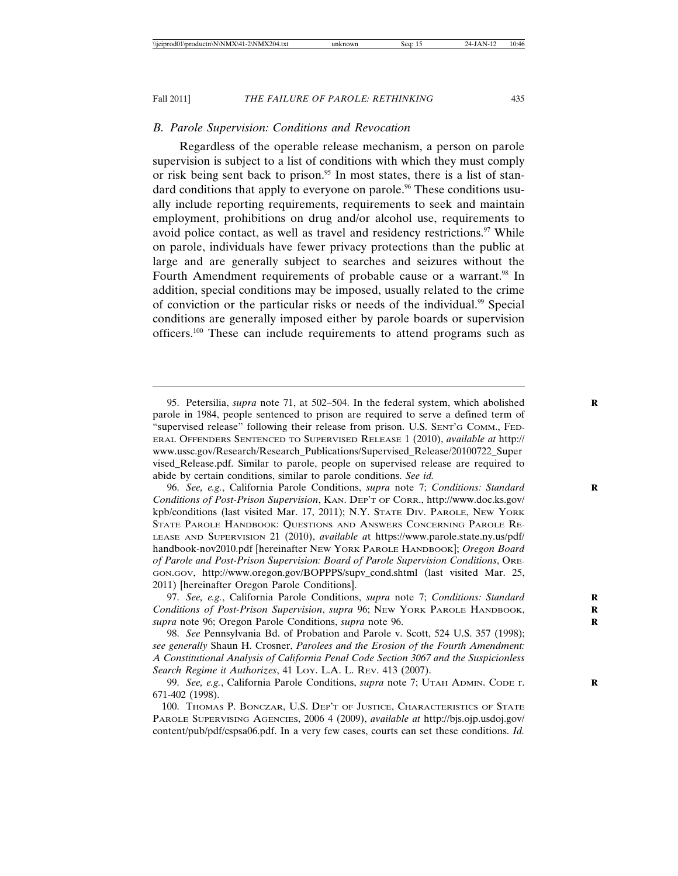## *B. Parole Supervision: Conditions and Revocation*

Regardless of the operable release mechanism, a person on parole supervision is subject to a list of conditions with which they must comply or risk being sent back to prison.<sup>95</sup> In most states, there is a list of standard conditions that apply to everyone on parole.<sup>96</sup> These conditions usually include reporting requirements, requirements to seek and maintain employment, prohibitions on drug and/or alcohol use, requirements to avoid police contact, as well as travel and residency restrictions. $97$  While on parole, individuals have fewer privacy protections than the public at large and are generally subject to searches and seizures without the Fourth Amendment requirements of probable cause or a warrant.<sup>98</sup> In addition, special conditions may be imposed, usually related to the crime of conviction or the particular risks or needs of the individual.<sup>99</sup> Special conditions are generally imposed either by parole boards or supervision officers.100 These can include requirements to attend programs such as

96. *See, e.g.*, California Parole Conditions, *supra* note 7; *Conditions: Standard* **R** *Conditions of Post-Prison Supervision*, KAN. DEP'T OF CORR., http://www.doc.ks.gov/ kpb/conditions (last visited Mar. 17, 2011); N.Y. STATE DIV. PAROLE, NEW YORK STATE PAROLE HANDBOOK: QUESTIONS AND ANSWERS CONCERNING PAROLE RE-LEASE AND SUPERVISION 21 (2010), *available a*t https://www.parole.state.ny.us/pdf/ handbook-nov2010.pdf [hereinafter NEW YORK PAROLE HANDBOOK]; *Oregon Board of Parole and Post-Prison Supervision: Board of Parole Supervision Conditions*, ORE-GON.GOV, http://www.oregon.gov/BOPPPS/supv\_cond.shtml (last visited Mar. 25, 2011) [hereinafter Oregon Parole Conditions].

97. *See, e.g.*, California Parole Conditions, *supra* note 7; *Conditions: Standard* **R** *Conditions of Post-Prison Supervision*, *supra* 96; NEW YORK PAROLE HANDBOOK, **R** *supra* note 96; Oregon Parole Conditions, *supra* note 96. **R**

98. *See* Pennsylvania Bd. of Probation and Parole v. Scott, 524 U.S. 357 (1998); *see generally* Shaun H. Crosner, *Parolees and the Erosion of the Fourth Amendment: A Constitutional Analysis of California Penal Code Section 3067 and the Suspicionless Search Regime it Authorizes*, 41 LOY. L.A. L. REV. 413 (2007).

99. *See, e.g.*, California Parole Conditions, *supra* note 7; UTAH ADMIN. CODE r. **R** 671-402 (1998).

100. THOMAS P. BONCZAR, U.S. DEP'T OF JUSTICE, CHARACTERISTICS OF STATE PAROLE SUPERVISING AGENCIES, 2006 4 (2009), *available at* http://bjs.ojp.usdoj.gov/ content/pub/pdf/cspsa06.pdf. In a very few cases, courts can set these conditions. *Id.*

<sup>95.</sup> Petersilia, *supra* note 71, at 502-504. In the federal system, which abolished parole in 1984, people sentenced to prison are required to serve a defined term of "supervised release" following their release from prison. U.S. SENT'G COMM., FED-ERAL OFFENDERS SENTENCED TO SUPERVISED RELEASE 1 (2010), *available at* http:// www.ussc.gov/Research/Research\_Publications/Supervised\_Release/20100722\_Super vised\_Release.pdf. Similar to parole, people on supervised release are required to abide by certain conditions, similar to parole conditions. *See id.*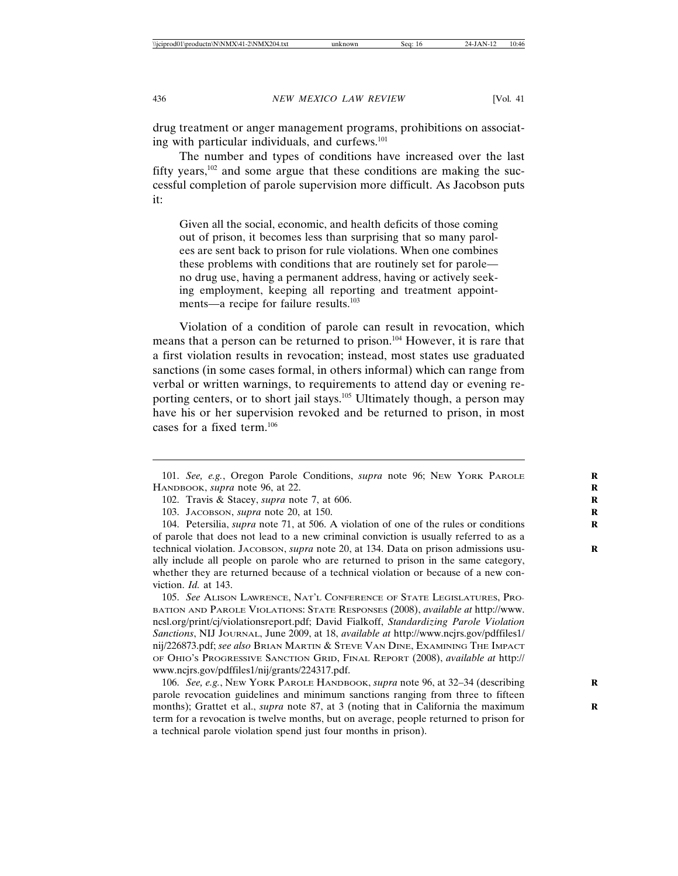drug treatment or anger management programs, prohibitions on associating with particular individuals, and curfews.<sup>101</sup>

The number and types of conditions have increased over the last fifty years,102 and some argue that these conditions are making the successful completion of parole supervision more difficult. As Jacobson puts it:

Given all the social, economic, and health deficits of those coming out of prison, it becomes less than surprising that so many parolees are sent back to prison for rule violations. When one combines these problems with conditions that are routinely set for parole no drug use, having a permanent address, having or actively seeking employment, keeping all reporting and treatment appointments—a recipe for failure results.<sup>103</sup>

Violation of a condition of parole can result in revocation, which means that a person can be returned to prison.104 However, it is rare that a first violation results in revocation; instead, most states use graduated sanctions (in some cases formal, in others informal) which can range from verbal or written warnings, to requirements to attend day or evening reporting centers, or to short jail stays.<sup>105</sup> Ultimately though, a person may have his or her supervision revoked and be returned to prison, in most cases for a fixed term.106

105. *See* ALISON LAWRENCE, NAT'L CONFERENCE OF STATE LEGISLATURES, PRO-BATION AND PAROLE VIOLATIONS: STATE RESPONSES (2008), *available at* http://www. ncsl.org/print/cj/violationsreport.pdf; David Fialkoff, *Standardizing Parole Violation Sanctions*, NIJ JOURNAL, June 2009, at 18, *available at* http://www.ncjrs.gov/pdffiles1/ nij/226873.pdf; *see also* BRIAN MARTIN & STEVE VAN DINE, EXAMINING THE IMPACT OF OHIO'S PROGRESSIVE SANCTION GRID, FINAL REPORT (2008), *available at* http:// www.ncjrs.gov/pdffiles1/nij/grants/224317.pdf.

106. *See, e.g.*, NEW YORK PAROLE HANDBOOK, *supra* note 96, at 32–34 (describing **R** parole revocation guidelines and minimum sanctions ranging from three to fifteen months); Grattet et al., *supra* note 87, at 3 (noting that in California the maximum term for a revocation is twelve months, but on average, people returned to prison for a technical parole violation spend just four months in prison).

<sup>101.</sup> See, e.g., Oregon Parole Conditions, *supra* note 96; NEW YORK PAROLE HANDBOOK, *supra* note 96, at 22.

<sup>102.</sup> Travis & Stacey, *supra* note 7, at 606. **R**

<sup>103.</sup> JACOBSON, *supra* note 20, at 150. **R**

<sup>104.</sup> Petersilia, *supra* note 71, at 506. A violation of one of the rules or conditions **R** of parole that does not lead to a new criminal conviction is usually referred to as a technical violation. JACOBSON, *supra* note 20, at 134. Data on prison admissions usually include all people on parole who are returned to prison in the same category, whether they are returned because of a technical violation or because of a new conviction. *Id.* at 143.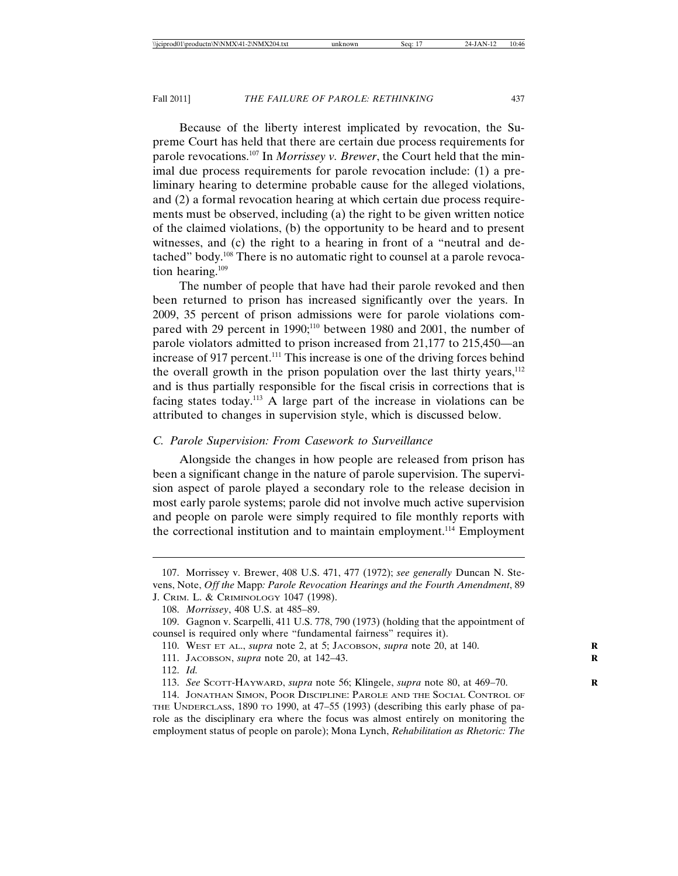Because of the liberty interest implicated by revocation, the Supreme Court has held that there are certain due process requirements for parole revocations.107 In *Morrissey v. Brewer*, the Court held that the minimal due process requirements for parole revocation include: (1) a preliminary hearing to determine probable cause for the alleged violations, and (2) a formal revocation hearing at which certain due process requirements must be observed, including (a) the right to be given written notice of the claimed violations, (b) the opportunity to be heard and to present witnesses, and (c) the right to a hearing in front of a "neutral and detached" body.<sup>108</sup> There is no automatic right to counsel at a parole revocation hearing.109

The number of people that have had their parole revoked and then been returned to prison has increased significantly over the years. In 2009, 35 percent of prison admissions were for parole violations compared with 29 percent in 1990;<sup>110</sup> between 1980 and 2001, the number of parole violators admitted to prison increased from 21,177 to 215,450—an increase of 917 percent.<sup>111</sup> This increase is one of the driving forces behind the overall growth in the prison population over the last thirty years, $112$ and is thus partially responsible for the fiscal crisis in corrections that is facing states today.113 A large part of the increase in violations can be attributed to changes in supervision style, which is discussed below.

## *C. Parole Supervision: From Casework to Surveillance*

Alongside the changes in how people are released from prison has been a significant change in the nature of parole supervision. The supervision aspect of parole played a secondary role to the release decision in most early parole systems; parole did not involve much active supervision and people on parole were simply required to file monthly reports with the correctional institution and to maintain employment.<sup>114</sup> Employment

- 111. JACOBSON, *supra* note 20, at 142–43. **R**
- 112. *Id.*

114. JONATHAN SIMON, POOR DISCIPLINE: PAROLE AND THE SOCIAL CONTROL OF THE UNDERCLASS, 1890 TO 1990, at 47–55 (1993) (describing this early phase of parole as the disciplinary era where the focus was almost entirely on monitoring the employment status of people on parole); Mona Lynch, *Rehabilitation as Rhetoric: The*

<sup>107.</sup> Morrissey v. Brewer, 408 U.S. 471, 477 (1972); *see generally* Duncan N. Stevens, Note, *Off the* Mapp*: Parole Revocation Hearings and the Fourth Amendment*, 89 J. CRIM. L. & CRIMINOLOGY 1047 (1998).

<sup>108.</sup> *Morrissey*, 408 U.S. at 485–89.

<sup>109.</sup> Gagnon v. Scarpelli, 411 U.S. 778, 790 (1973) (holding that the appointment of counsel is required only where "fundamental fairness" requires it).

<sup>110.</sup> WEST ET AL., *supra* note 2, at 5; JACOBSON, *supra* note 20, at 140. **R**

<sup>113.</sup> See SCOTT-HAYWARD, *supra* note 56; Klingele, *supra* note 80, at 469-70.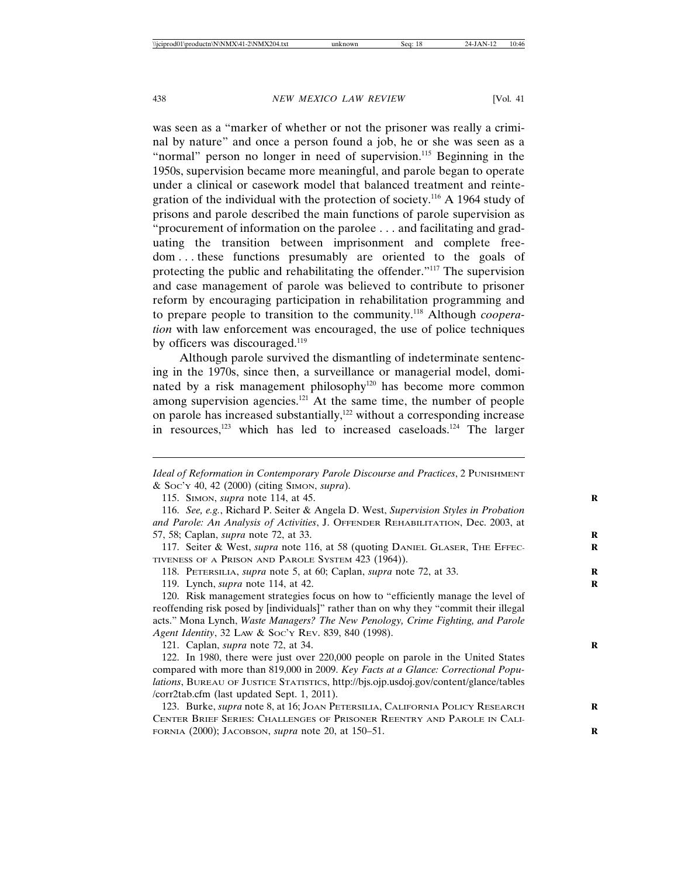was seen as a "marker of whether or not the prisoner was really a criminal by nature" and once a person found a job, he or she was seen as a "normal" person no longer in need of supervision.<sup>115</sup> Beginning in the 1950s, supervision became more meaningful, and parole began to operate under a clinical or casework model that balanced treatment and reintegration of the individual with the protection of society.<sup>116</sup> A 1964 study of prisons and parole described the main functions of parole supervision as "procurement of information on the parolee... and facilitating and graduating the transition between imprisonment and complete freedom . . . these functions presumably are oriented to the goals of protecting the public and rehabilitating the offender."117 The supervision and case management of parole was believed to contribute to prisoner reform by encouraging participation in rehabilitation programming and to prepare people to transition to the community.118 Although *cooperation* with law enforcement was encouraged, the use of police techniques by officers was discouraged.<sup>119</sup>

Although parole survived the dismantling of indeterminate sentencing in the 1970s, since then, a surveillance or managerial model, dominated by a risk management philosophy<sup>120</sup> has become more common among supervision agencies.121 At the same time, the number of people on parole has increased substantially,<sup>122</sup> without a corresponding increase in resources, $123$  which has led to increased caseloads. $124$  The larger

115. SIMON, *supra* note 114, at 45. **R**

117. Seiter & West, *supra* note 116, at 58 (quoting DANIEL GLASER, THE EFFEC-TIVENESS OF A PRISON AND PAROLE SYSTEM 423 (1964)).

118. PETERSILIA, *supra* note 5, at 60; Caplan, *supra* note 72, at 33. **R**

119. Lynch, *supra* note 114, at 42. **R**

120. Risk management strategies focus on how to "efficiently manage the level of reoffending risk posed by [individuals]" rather than on why they "commit their illegal acts." Mona Lynch, *Waste Managers? The New Penology, Crime Fighting, and Parole Agent Identity*, 32 LAW & SOC'Y REV. 839, 840 (1998).

121. Caplan, *supra* note 72, at 34. **R**

122. In 1980, there were just over 220,000 people on parole in the United States compared with more than 819,000 in 2009. *Key Facts at a Glance: Correctional Populations*, BUREAU OF JUSTICE STATISTICS, http://bjs.ojp.usdoj.gov/content/glance/tables /corr2tab.cfm (last updated Sept. 1, 2011).

123. Burke, *supra* note 8, at 16; JOAN PETERSILIA, CALIFORNIA POLICY RESEARCH **R** CENTER BRIEF SERIES: CHALLENGES OF PRISONER REENTRY AND PAROLE IN CALI-FORNIA (2000); JACOBSON, *supra* note 20, at 150–51. **R**

*Ideal of Reformation in Contemporary Parole Discourse and Practices*, 2 PUNISHMENT & SOC'Y 40, 42 (2000) (citing SIMON, *supra*).

<sup>116.</sup> *See, e.g.*, Richard P. Seiter & Angela D. West, *Supervision Styles in Probation and Parole: An Analysis of Activities*, J. OFFENDER REHABILITATION, Dec. 2003, at 57, 58; Caplan, *supra* note 72, at 33. **R**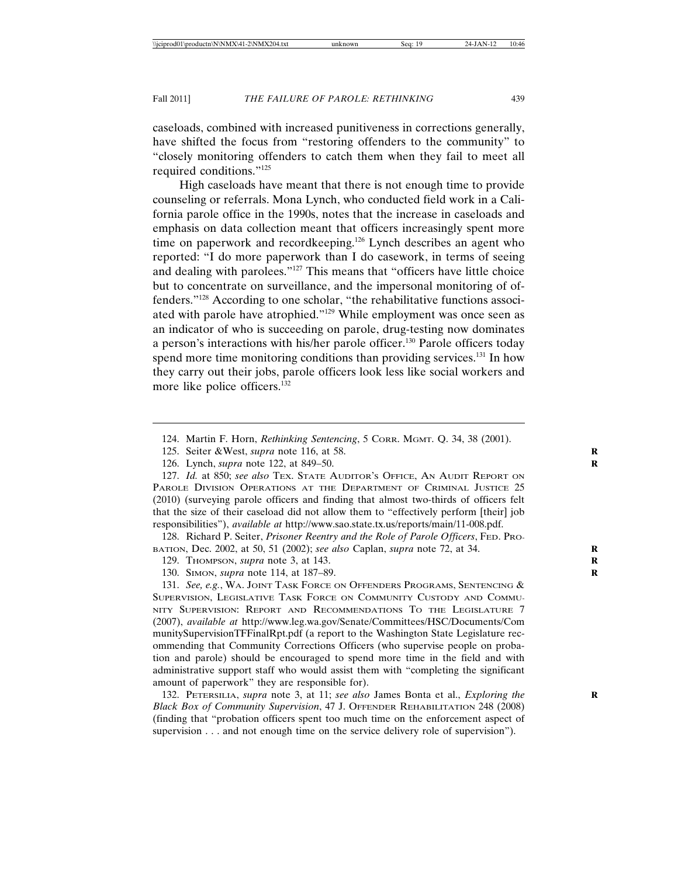caseloads, combined with increased punitiveness in corrections generally, have shifted the focus from "restoring offenders to the community" to "closely monitoring offenders to catch them when they fail to meet all required conditions."125

High caseloads have meant that there is not enough time to provide counseling or referrals. Mona Lynch, who conducted field work in a California parole office in the 1990s, notes that the increase in caseloads and emphasis on data collection meant that officers increasingly spent more time on paperwork and recordkeeping.<sup>126</sup> Lynch describes an agent who reported: "I do more paperwork than I do casework, in terms of seeing and dealing with parolees."127 This means that "officers have little choice but to concentrate on surveillance, and the impersonal monitoring of offenders."128 According to one scholar, "the rehabilitative functions associated with parole have atrophied."129 While employment was once seen as an indicator of who is succeeding on parole, drug-testing now dominates a person's interactions with his/her parole officer.<sup>130</sup> Parole officers today spend more time monitoring conditions than providing services.<sup>131</sup> In how they carry out their jobs, parole officers look less like social workers and more like police officers.<sup>132</sup>

127. *Id.* at 850; *see also* TEX. STATE AUDITOR'S OFFICE, AN AUDIT REPORT ON PAROLE DIVISION OPERATIONS AT THE DEPARTMENT OF CRIMINAL JUSTICE 25 (2010) (surveying parole officers and finding that almost two-thirds of officers felt that the size of their caseload did not allow them to "effectively perform [their] job responsibilities"), *available at* http://www.sao.state.tx.us/reports/main/11-008.pdf.

128. Richard P. Seiter, *Prisoner Reentry and the Role of Parole Officers*, FED. PRO-BATION, Dec. 2002, at 50, 51 (2002); *see also* Caplan, *supra* note 72, at 34. **R**

129. THOMPSON, *supra* note 3, at 143. **R**

130. SIMON, *supra* note 114, at 187–89. **R**

131. *See, e.g.*, WA. JOINT TASK FORCE ON OFFENDERS PROGRAMS, SENTENCING & SUPERVISION, LEGISLATIVE TASK FORCE ON COMMUNITY CUSTODY AND COMMU-NITY SUPERVISION: REPORT AND RECOMMENDATIONS TO THE LEGISLATURE 7 (2007), *available at* http://www.leg.wa.gov/Senate/Committees/HSC/Documents/Com munitySupervisionTFFinalRpt.pdf (a report to the Washington State Legislature recommending that Community Corrections Officers (who supervise people on probation and parole) should be encouraged to spend more time in the field and with administrative support staff who would assist them with "completing the significant amount of paperwork" they are responsible for).

132. PETERSILIA, *supra* note 3, at 11; *see also* James Bonta et al., *Exploring the* **R** *Black Box of Community Supervision*, 47 J. OFFENDER REHABILITATION 248 (2008) (finding that "probation officers spent too much time on the enforcement aspect of supervision... and not enough time on the service delivery role of supervision").

<sup>124.</sup> Martin F. Horn, *Rethinking Sentencing*, 5 CORR. MGMT. Q. 34, 38 (2001).

<sup>125.</sup> Seiter &West, *supra* note 116, at 58.

<sup>126.</sup> Lynch, *supra* note 122, at 849–50. **R**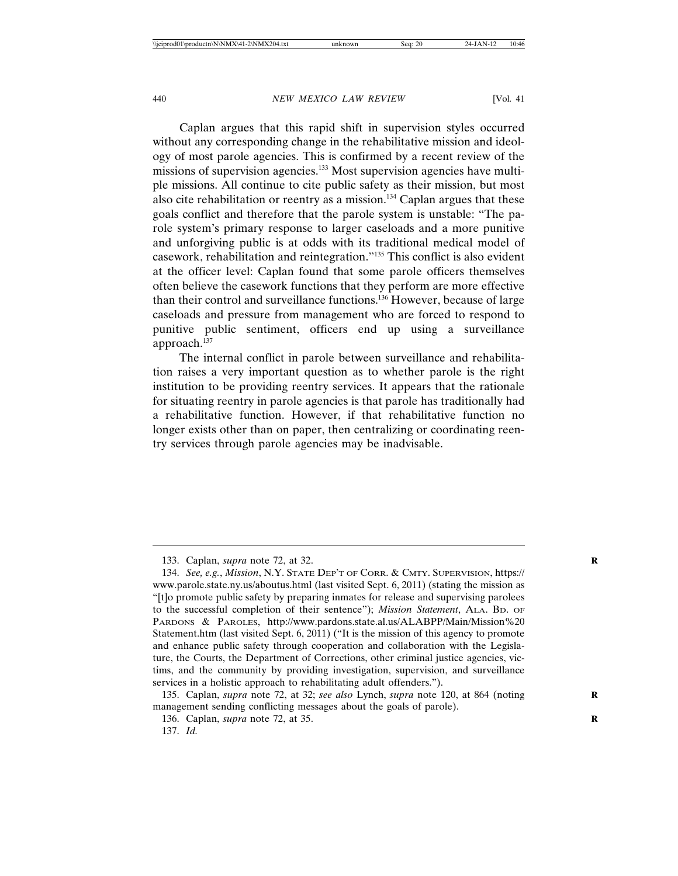Caplan argues that this rapid shift in supervision styles occurred without any corresponding change in the rehabilitative mission and ideology of most parole agencies. This is confirmed by a recent review of the missions of supervision agencies.133 Most supervision agencies have multiple missions. All continue to cite public safety as their mission, but most also cite rehabilitation or reentry as a mission.<sup>134</sup> Caplan argues that these goals conflict and therefore that the parole system is unstable: "The parole system's primary response to larger caseloads and a more punitive and unforgiving public is at odds with its traditional medical model of casework, rehabilitation and reintegration."135 This conflict is also evident at the officer level: Caplan found that some parole officers themselves often believe the casework functions that they perform are more effective than their control and surveillance functions.136 However, because of large caseloads and pressure from management who are forced to respond to punitive public sentiment, officers end up using a surveillance approach.<sup>137</sup>

The internal conflict in parole between surveillance and rehabilitation raises a very important question as to whether parole is the right institution to be providing reentry services. It appears that the rationale for situating reentry in parole agencies is that parole has traditionally had a rehabilitative function. However, if that rehabilitative function no longer exists other than on paper, then centralizing or coordinating reentry services through parole agencies may be inadvisable.

<sup>133.</sup> Caplan, *supra* note 72, at 32. **R**

<sup>134.</sup> *See, e.g.*, *Mission*, N.Y. STATE DEP'T OF CORR. & CMTY. SUPERVISION, https:// www.parole.state.ny.us/aboutus.html (last visited Sept. 6, 2011) (stating the mission as "[t]o promote public safety by preparing inmates for release and supervising parolees to the successful completion of their sentence"); *Mission Statement*, ALA. BD. OF PARDONS & PAROLES, http://www.pardons.state.al.us/ALABPP/Main/Mission%20 Statement.htm (last visited Sept. 6, 2011) ("It is the mission of this agency to promote and enhance public safety through cooperation and collaboration with the Legislature, the Courts, the Department of Corrections, other criminal justice agencies, victims, and the community by providing investigation, supervision, and surveillance services in a holistic approach to rehabilitating adult offenders.").

<sup>135.</sup> Caplan, *supra* note 72, at 32; *see also* Lynch, *supra* note 120, at 864 (noting management sending conflicting messages about the goals of parole).

<sup>136.</sup> Caplan, *supra* note 72, at 35. **R**

<sup>137.</sup> *Id.*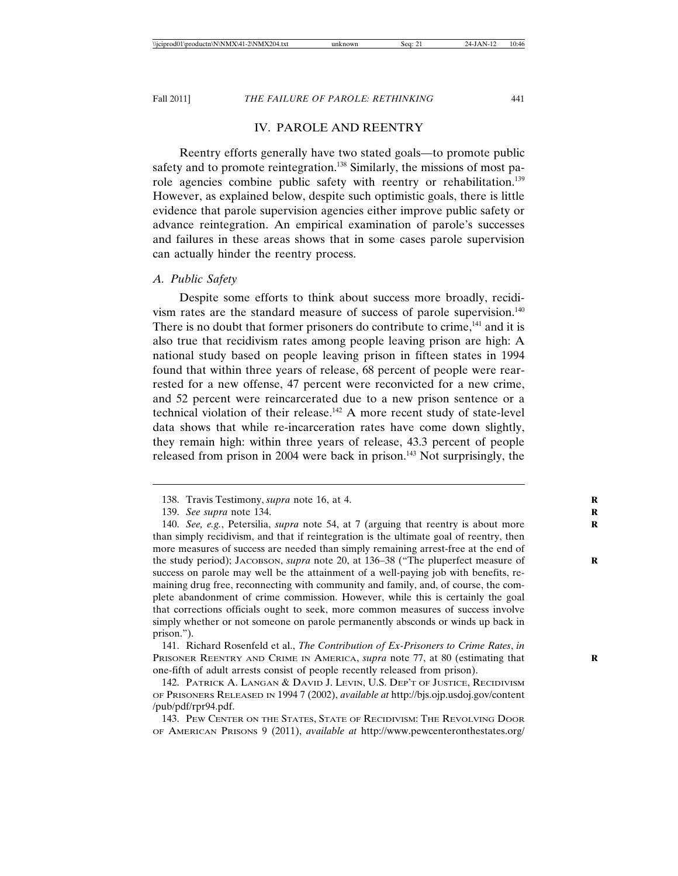## IV. PAROLE AND REENTRY

Reentry efforts generally have two stated goals—to promote public safety and to promote reintegration.<sup>138</sup> Similarly, the missions of most parole agencies combine public safety with reentry or rehabilitation.<sup>139</sup> However, as explained below, despite such optimistic goals, there is little evidence that parole supervision agencies either improve public safety or advance reintegration. An empirical examination of parole's successes and failures in these areas shows that in some cases parole supervision can actually hinder the reentry process.

## *A. Public Safety*

Despite some efforts to think about success more broadly, recidivism rates are the standard measure of success of parole supervision.<sup>140</sup> There is no doubt that former prisoners do contribute to crime, $141$  and it is also true that recidivism rates among people leaving prison are high: A national study based on people leaving prison in fifteen states in 1994 found that within three years of release, 68 percent of people were rearrested for a new offense, 47 percent were reconvicted for a new crime, and 52 percent were reincarcerated due to a new prison sentence or a technical violation of their release.<sup>142</sup> A more recent study of state-level data shows that while re-incarceration rates have come down slightly, they remain high: within three years of release, 43.3 percent of people released from prison in 2004 were back in prison. $143$  Not surprisingly, the

<sup>138.</sup> Travis Testimony, *supra* note 16, at 4. **R**

<sup>139.</sup> *See supra* note 134. **R**

<sup>140.</sup> *See, e.g.*, Petersilia, *supra* note 54, at 7 (arguing that reentry is about more than simply recidivism, and that if reintegration is the ultimate goal of reentry, then more measures of success are needed than simply remaining arrest-free at the end of the study period); JACOBSON, *supra* note 20, at 136-38 ("The pluperfect measure of success on parole may well be the attainment of a well-paying job with benefits, remaining drug free, reconnecting with community and family, and, of course, the complete abandonment of crime commission. However, while this is certainly the goal that corrections officials ought to seek, more common measures of success involve simply whether or not someone on parole permanently absconds or winds up back in prison.").

<sup>141.</sup> Richard Rosenfeld et al., *The Contribution of Ex-Prisoners to Crime Rates*, *in* PRISONER REENTRY AND CRIME IN AMERICA, *supra* note 77, at 80 (estimating that **R** one-fifth of adult arrests consist of people recently released from prison).

<sup>142.</sup> PATRICK A. LANGAN & DAVID J. LEVIN, U.S. DEP'T OF JUSTICE, RECIDIVISM OF PRISONERS RELEASED IN 1994 7 (2002), *available at* http://bjs.ojp.usdoj.gov/content /pub/pdf/rpr94.pdf.

<sup>143.</sup> PEW CENTER ON THE STATES, STATE OF RECIDIVISM: THE REVOLVING DOOR OF AMERICAN PRISONS 9 (2011), *available at* http://www.pewcenteronthestates.org/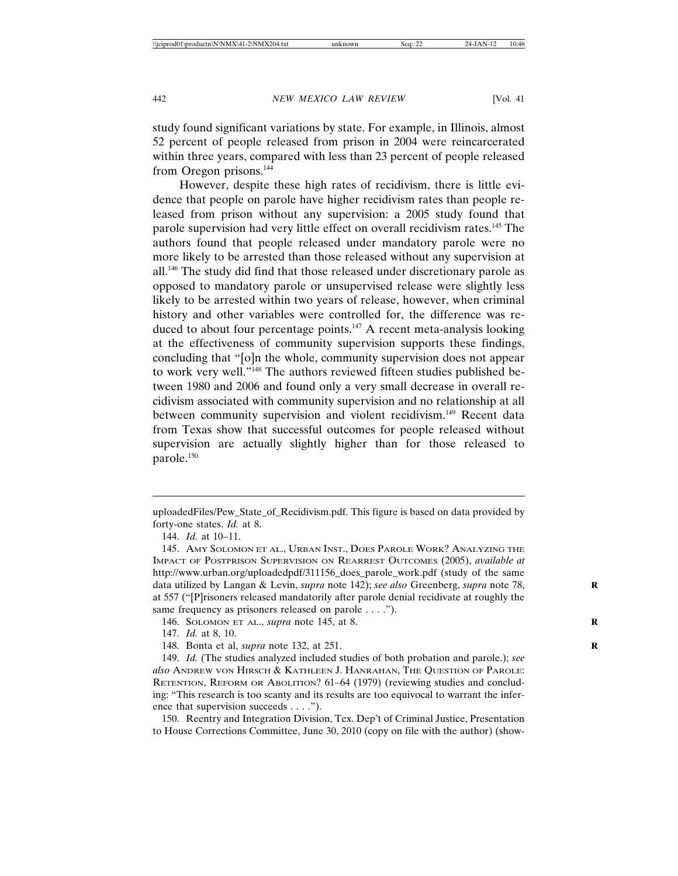study found significant variations by state. For example, in Illinois, almost 52 percent of people released from prison in 2004 were reincarcerated within three years, compared with less than 23 percent of people released from Oregon prisons.144

However, despite these high rates of recidivism, there is little evidence that people on parole have higher recidivism rates than people released from prison without any supervision: a 2005 study found that parole supervision had very little effect on overall recidivism rates.<sup>145</sup> The authors found that people released under mandatory parole were no more likely to be arrested than those released without any supervision at all.146 The study did find that those released under discretionary parole as opposed to mandatory parole or unsupervised release were slightly less likely to be arrested within two years of release, however, when criminal history and other variables were controlled for, the difference was reduced to about four percentage points.<sup>147</sup> A recent meta-analysis looking at the effectiveness of community supervision supports these findings, concluding that "[o]n the whole, community supervision does not appear to work very well."148 The authors reviewed fifteen studies published between 1980 and 2006 and found only a very small decrease in overall recidivism associated with community supervision and no relationship at all between community supervision and violent recidivism.<sup>149</sup> Recent data from Texas show that successful outcomes for people released without supervision are actually slightly higher than for those released to parole.150

147. *Id.* at 8, 10.

uploadedFiles/Pew\_State\_of\_Recidivism.pdf. This figure is based on data provided by forty-one states. *Id.* at 8.

<sup>144.</sup> *Id.* at 10–11.

<sup>145.</sup> AMY SOLOMON ET AL., URBAN INST., DOES PAROLE WORK? ANALYZING THE IMPACT OF POSTPRISON SUPERVISION ON REARREST OUTCOMES (2005), *available at* http://www.urban.org/uploadedpdf/311156\_does\_parole\_work.pdf (study of the same data utilized by Langan & Levin, *supra* note 142); *see also* Greenberg, *supra* note 78, at 557 ("[P]risoners released mandatorily after parole denial recidivate at roughly the same frequency as prisoners released on parole....").

<sup>146.</sup> SOLOMON ET AL., *supra* note 145, at 8. **R**

<sup>148.</sup> Bonta et al, *supra* note 132, at 251. **R**

<sup>149.</sup> *Id.* (The studies analyzed included studies of both probation and parole.); *see also* ANDREW VON HIRSCH & KATHLEEN J. HANRAHAN, THE QUESTION OF PAROLE: RETENTION, REFORM OR ABOLITION? 61–64 (1979) (reviewing studies and concluding: "This research is too scanty and its results are too equivocal to warrant the inference that supervision succeeds... .").

<sup>150.</sup> Reentry and Integration Division, Tex. Dep't of Criminal Justice, Presentation to House Corrections Committee, June 30, 2010 (copy on file with the author) (show-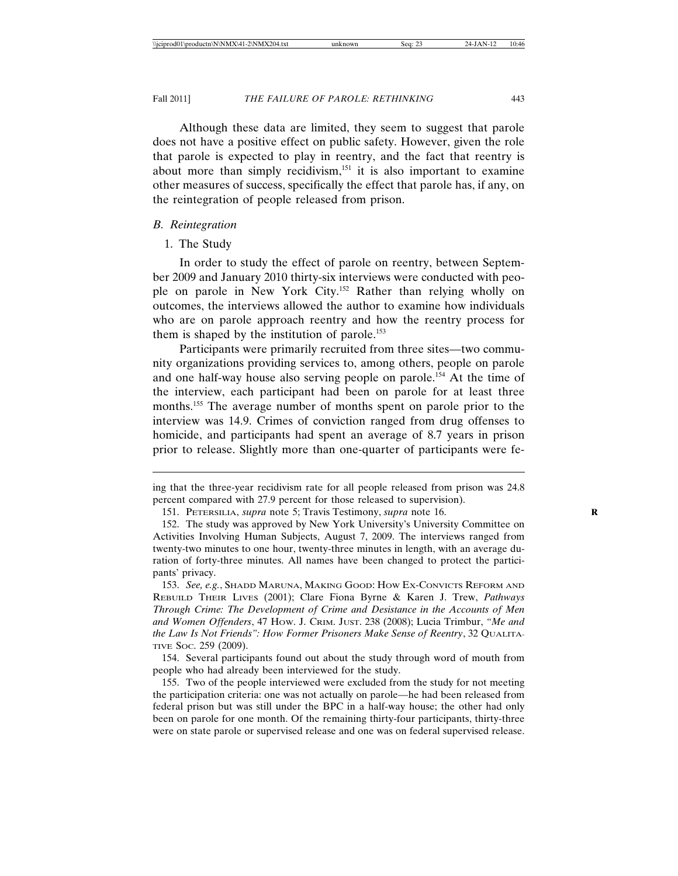Although these data are limited, they seem to suggest that parole does not have a positive effect on public safety. However, given the role that parole is expected to play in reentry, and the fact that reentry is about more than simply recidivism,<sup>151</sup> it is also important to examine other measures of success, specifically the effect that parole has, if any, on the reintegration of people released from prison.

#### *B. Reintegration*

#### 1. The Study

In order to study the effect of parole on reentry, between September 2009 and January 2010 thirty-six interviews were conducted with people on parole in New York City.152 Rather than relying wholly on outcomes, the interviews allowed the author to examine how individuals who are on parole approach reentry and how the reentry process for them is shaped by the institution of parole.<sup>153</sup>

Participants were primarily recruited from three sites—two community organizations providing services to, among others, people on parole and one half-way house also serving people on parole.<sup>154</sup> At the time of the interview, each participant had been on parole for at least three months.<sup>155</sup> The average number of months spent on parole prior to the interview was 14.9. Crimes of conviction ranged from drug offenses to homicide, and participants had spent an average of 8.7 years in prison prior to release. Slightly more than one-quarter of participants were fe-

153. *See, e.g.*, SHADD MARUNA, MAKING GOOD: HOW EX-CONVICTS REFORM AND REBUILD THEIR LIVES (2001); Clare Fiona Byrne & Karen J. Trew, *Pathways Through Crime: The Development of Crime and Desistance in the Accounts of Men and Women Offenders*, 47 HOW. J. CRIM. JUST. 238 (2008); Lucia Trimbur, *"Me and the Law Is Not Friends": How Former Prisoners Make Sense of Reentry*, 32 QUALITA-TIVE SOC. 259 (2009).

154. Several participants found out about the study through word of mouth from people who had already been interviewed for the study.

155. Two of the people interviewed were excluded from the study for not meeting the participation criteria: one was not actually on parole—he had been released from federal prison but was still under the BPC in a half-way house; the other had only been on parole for one month. Of the remaining thirty-four participants, thirty-three were on state parole or supervised release and one was on federal supervised release.

ing that the three-year recidivism rate for all people released from prison was 24.8 percent compared with 27.9 percent for those released to supervision).

<sup>151.</sup> PETERSILIA, *supra* note 5; Travis Testimony, *supra* note 16. **R**

<sup>152.</sup> The study was approved by New York University's University Committee on Activities Involving Human Subjects, August 7, 2009. The interviews ranged from twenty-two minutes to one hour, twenty-three minutes in length, with an average duration of forty-three minutes. All names have been changed to protect the participants' privacy.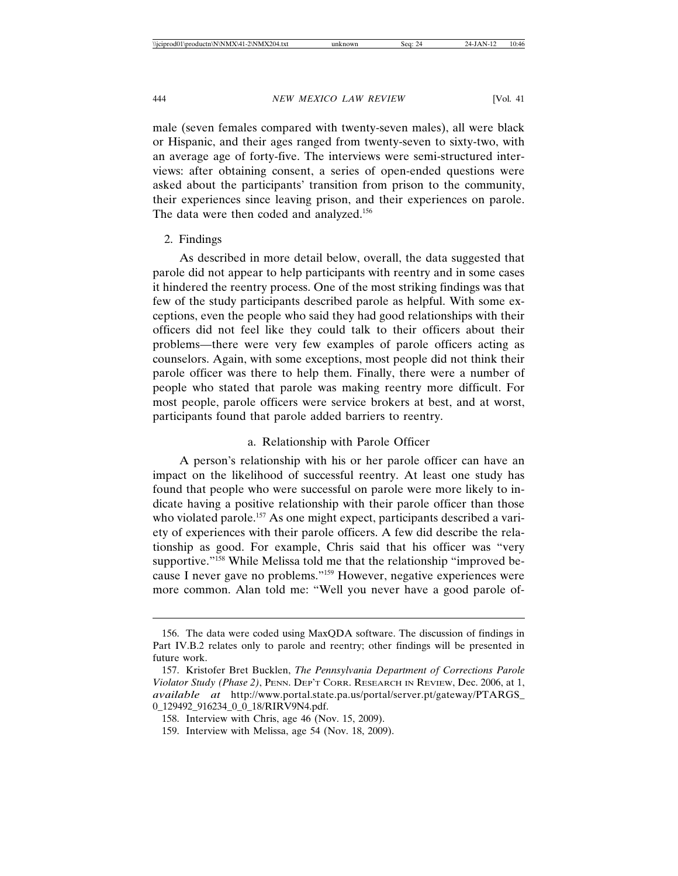male (seven females compared with twenty-seven males), all were black or Hispanic, and their ages ranged from twenty-seven to sixty-two, with an average age of forty-five. The interviews were semi-structured interviews: after obtaining consent, a series of open-ended questions were asked about the participants' transition from prison to the community, their experiences since leaving prison, and their experiences on parole. The data were then coded and analyzed.<sup>156</sup>

#### 2. Findings

As described in more detail below, overall, the data suggested that parole did not appear to help participants with reentry and in some cases it hindered the reentry process. One of the most striking findings was that few of the study participants described parole as helpful. With some exceptions, even the people who said they had good relationships with their officers did not feel like they could talk to their officers about their problems—there were very few examples of parole officers acting as counselors. Again, with some exceptions, most people did not think their parole officer was there to help them. Finally, there were a number of people who stated that parole was making reentry more difficult. For most people, parole officers were service brokers at best, and at worst, participants found that parole added barriers to reentry.

## a. Relationship with Parole Officer

A person's relationship with his or her parole officer can have an impact on the likelihood of successful reentry. At least one study has found that people who were successful on parole were more likely to indicate having a positive relationship with their parole officer than those who violated parole.<sup>157</sup> As one might expect, participants described a variety of experiences with their parole officers. A few did describe the relationship as good. For example, Chris said that his officer was "very supportive."<sup>158</sup> While Melissa told me that the relationship "improved because I never gave no problems."159 However, negative experiences were more common. Alan told me: "Well you never have a good parole of-

<sup>156.</sup> The data were coded using MaxQDA software. The discussion of findings in Part IV.B.2 relates only to parole and reentry; other findings will be presented in future work.

<sup>157.</sup> Kristofer Bret Bucklen, *The Pennsylvania Department of Corrections Parole Violator Study (Phase 2)*, PENN. DEP'T CORR. RESEARCH IN REVIEW, Dec. 2006, at 1, *available at* http://www.portal.state.pa.us/portal/server.pt/gateway/PTARGS\_ 0\_129492\_916234\_0\_0\_18/RIRV9N4.pdf.

<sup>158.</sup> Interview with Chris, age 46 (Nov. 15, 2009).

<sup>159.</sup> Interview with Melissa, age 54 (Nov. 18, 2009).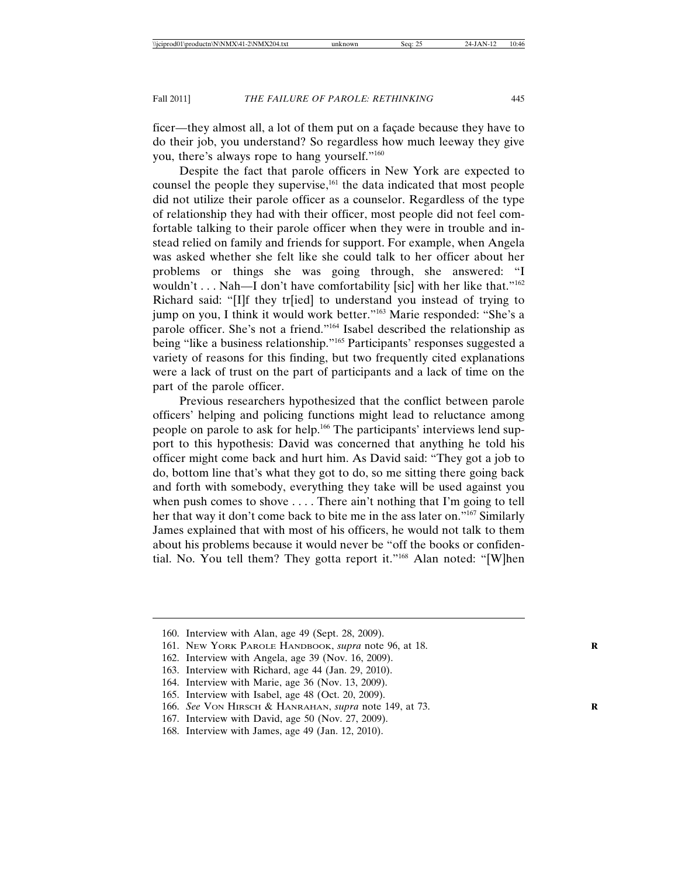ficer—they almost all, a lot of them put on a façade because they have to do their job, you understand? So regardless how much leeway they give you, there's always rope to hang yourself."160

Despite the fact that parole officers in New York are expected to counsel the people they supervise,<sup>161</sup> the data indicated that most people did not utilize their parole officer as a counselor. Regardless of the type of relationship they had with their officer, most people did not feel comfortable talking to their parole officer when they were in trouble and instead relied on family and friends for support. For example, when Angela was asked whether she felt like she could talk to her officer about her problems or things she was going through, she answered: "I wouldn't . . . Nah—I don't have comfortability [sic] with her like that."<sup>162</sup> Richard said: "[I]f they tr[ied] to understand you instead of trying to jump on you, I think it would work better."163 Marie responded: "She's a parole officer. She's not a friend."164 Isabel described the relationship as being "like a business relationship."<sup>165</sup> Participants' responses suggested a variety of reasons for this finding, but two frequently cited explanations were a lack of trust on the part of participants and a lack of time on the part of the parole officer.

Previous researchers hypothesized that the conflict between parole officers' helping and policing functions might lead to reluctance among people on parole to ask for help.166 The participants' interviews lend support to this hypothesis: David was concerned that anything he told his officer might come back and hurt him. As David said: "They got a job to do, bottom line that's what they got to do, so me sitting there going back and forth with somebody, everything they take will be used against you when push comes to shove . . . . There ain't nothing that I'm going to tell her that way it don't come back to bite me in the ass later on."167 Similarly James explained that with most of his officers, he would not talk to them about his problems because it would never be "off the books or confidential. No. You tell them? They gotta report it."168 Alan noted: "[W]hen

- 162. Interview with Angela, age 39 (Nov. 16, 2009).
- 163. Interview with Richard, age 44 (Jan. 29, 2010).
- 164. Interview with Marie, age 36 (Nov. 13, 2009).
- 165. Interview with Isabel, age 48 (Oct. 20, 2009).
- 166. *See* VON HIRSCH & HANRAHAN, *supra* note 149, at 73. **R**
- 167. Interview with David, age 50 (Nov. 27, 2009).
- 168. Interview with James, age 49 (Jan. 12, 2010).

<sup>160.</sup> Interview with Alan, age 49 (Sept. 28, 2009).

<sup>161.</sup> NEW YORK PAROLE HANDBOOK, *supra* note 96, at 18. **R**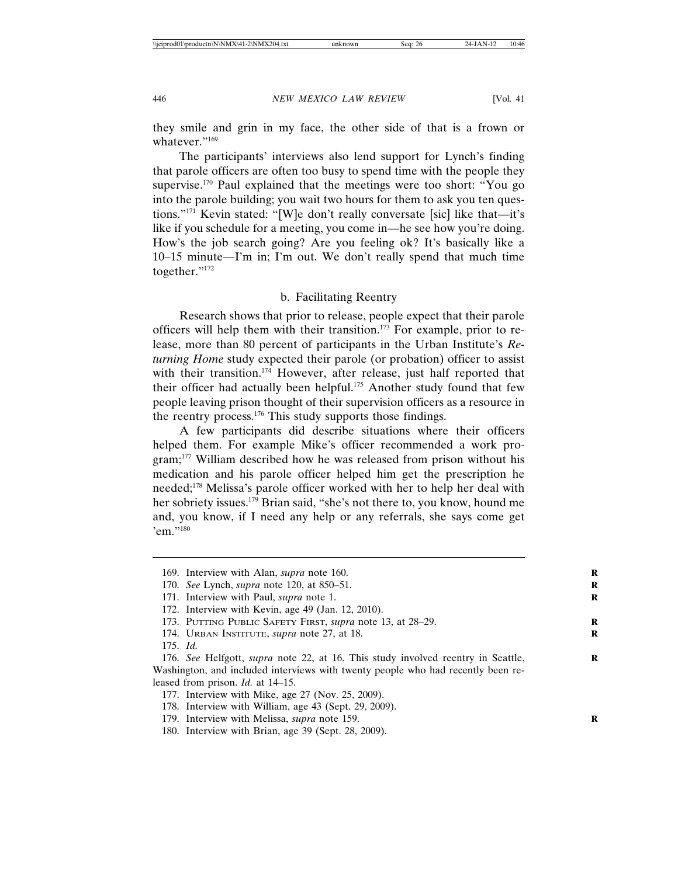they smile and grin in my face, the other side of that is a frown or whatever."<sup>169</sup>

The participants' interviews also lend support for Lynch's finding that parole officers are often too busy to spend time with the people they supervise.170 Paul explained that the meetings were too short: "You go into the parole building; you wait two hours for them to ask you ten questions."171 Kevin stated: "[W]e don't really conversate [sic] like that—it's like if you schedule for a meeting, you come in—he see how you're doing. How's the job search going? Are you feeling ok? It's basically like a 10–15 minute—I'm in; I'm out. We don't really spend that much time together."172

## b. Facilitating Reentry

Research shows that prior to release, people expect that their parole officers will help them with their transition.<sup>173</sup> For example, prior to release, more than 80 percent of participants in the Urban Institute's *Returning Home* study expected their parole (or probation) officer to assist with their transition.<sup>174</sup> However, after release, just half reported that their officer had actually been helpful.<sup>175</sup> Another study found that few people leaving prison thought of their supervision officers as a resource in the reentry process.<sup>176</sup> This study supports those findings.

A few participants did describe situations where their officers helped them. For example Mike's officer recommended a work program;177 William described how he was released from prison without his medication and his parole officer helped him get the prescription he needed;178 Melissa's parole officer worked with her to help her deal with her sobriety issues.<sup>179</sup> Brian said, "she's not there to, you know, hound me and, you know, if I need any help or any referrals, she says come get 'em."<sup>180</sup>

173. PUTTING PUBLIC SAFETY FIRST, *supra* note 13, at 28–29. **R**

- 178. Interview with William, age 43 (Sept. 29, 2009).
- 179. Interview with Melissa, *supra* note 159. **R**
- 180. Interview with Brian, age 39 (Sept. 28, 2009).

<sup>169.</sup> Interview with Alan, *supra* note 160. **R**

<sup>170.</sup> *See* Lynch, *supra* note 120, at 850–51. **R**

<sup>171.</sup> Interview with Paul, *supra* note 1. **R**

<sup>172.</sup> Interview with Kevin, age 49 (Jan. 12, 2010).

<sup>174.</sup> URBAN INSTITUTE, *supra* note 27, at 18. **R**

<sup>175.</sup> *Id.*

<sup>176.</sup> *See* Helfgott, *supra* note 22, at 16. This study involved reentry in Seattle, **R** Washington, and included interviews with twenty people who had recently been released from prison. *Id.* at 14–15.

<sup>177.</sup> Interview with Mike, age 27 (Nov. 25, 2009).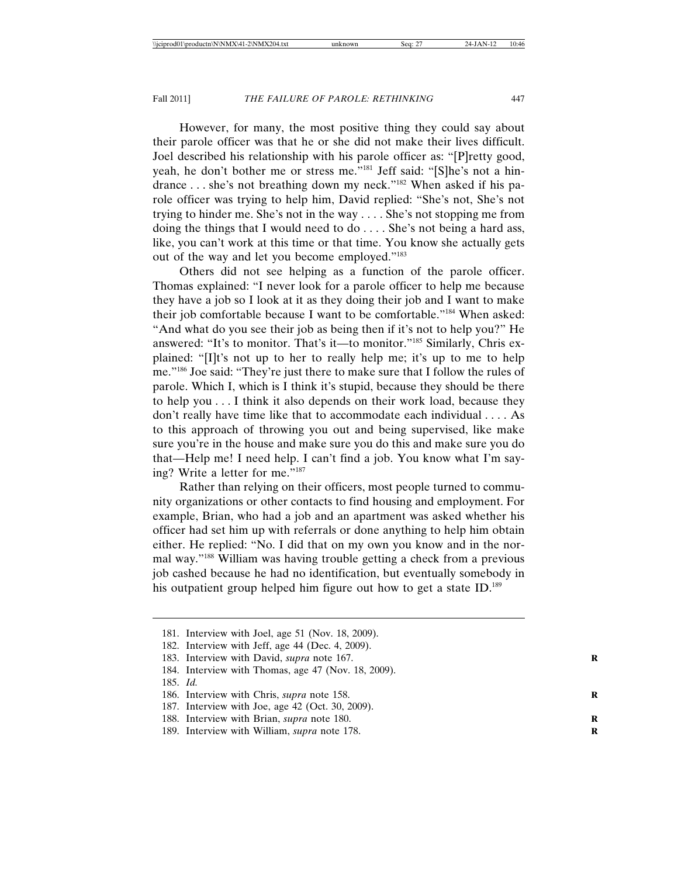However, for many, the most positive thing they could say about their parole officer was that he or she did not make their lives difficult. Joel described his relationship with his parole officer as: "[P]retty good, yeah, he don't bother me or stress me."<sup>181</sup> Jeff said: "[S]he's not a hindrance... she's not breathing down my neck."182 When asked if his parole officer was trying to help him, David replied: "She's not, She's not trying to hinder me. She's not in the way . . . . She's not stopping me from doing the things that I would need to do . . . . She's not being a hard ass, like, you can't work at this time or that time. You know she actually gets out of the way and let you become employed."183

Others did not see helping as a function of the parole officer. Thomas explained: "I never look for a parole officer to help me because they have a job so I look at it as they doing their job and I want to make their job comfortable because I want to be comfortable."184 When asked: "And what do you see their job as being then if it's not to help you?" He answered: "It's to monitor. That's it—to monitor."185 Similarly, Chris explained: "[I]t's not up to her to really help me; it's up to me to help me."186 Joe said: "They're just there to make sure that I follow the rules of parole. Which I, which is I think it's stupid, because they should be there to help you . . . I think it also depends on their work load, because they don't really have time like that to accommodate each individual . . . . As to this approach of throwing you out and being supervised, like make sure you're in the house and make sure you do this and make sure you do that—Help me! I need help. I can't find a job. You know what I'm saying? Write a letter for me."187

Rather than relying on their officers, most people turned to community organizations or other contacts to find housing and employment. For example, Brian, who had a job and an apartment was asked whether his officer had set him up with referrals or done anything to help him obtain either. He replied: "No. I did that on my own you know and in the normal way."188 William was having trouble getting a check from a previous job cashed because he had no identification, but eventually somebody in his outpatient group helped him figure out how to get a state ID.<sup>189</sup>

- 188. Interview with Brian, *supra* note 180. **R**
- 189. Interview with William, *supra* note 178.

<sup>181.</sup> Interview with Joel, age 51 (Nov. 18, 2009).

<sup>182.</sup> Interview with Jeff, age 44 (Dec. 4, 2009).

<sup>183.</sup> Interview with David, *supra* note 167. **R**

<sup>184.</sup> Interview with Thomas, age 47 (Nov. 18, 2009).

<sup>185.</sup> *Id.*

<sup>186.</sup> Interview with Chris, *supra* note 158.

<sup>187.</sup> Interview with Joe, age 42 (Oct. 30, 2009).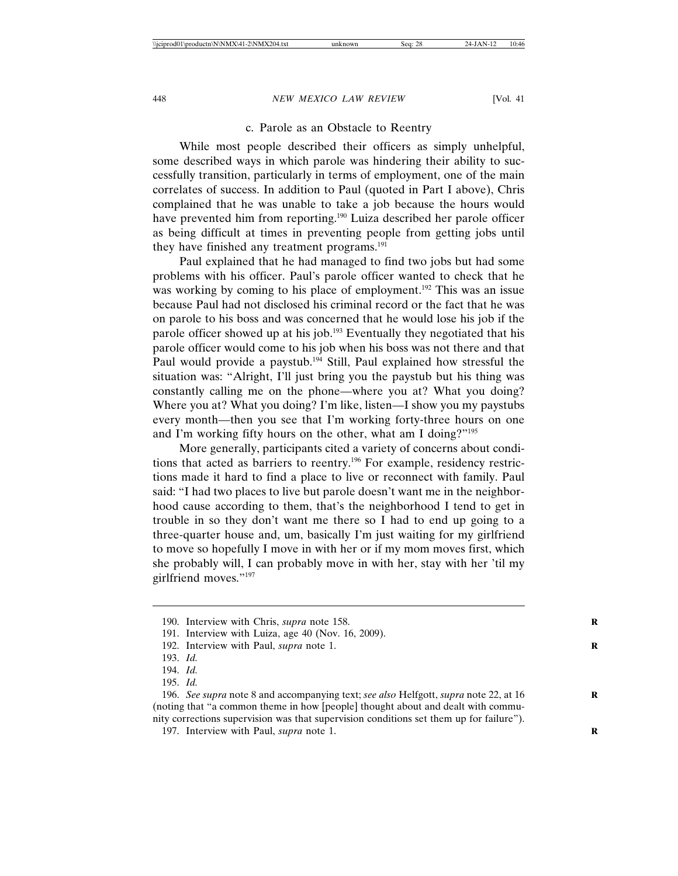## c. Parole as an Obstacle to Reentry

While most people described their officers as simply unhelpful, some described ways in which parole was hindering their ability to successfully transition, particularly in terms of employment, one of the main correlates of success. In addition to Paul (quoted in Part I above), Chris complained that he was unable to take a job because the hours would have prevented him from reporting.190 Luiza described her parole officer as being difficult at times in preventing people from getting jobs until they have finished any treatment programs.<sup>191</sup>

Paul explained that he had managed to find two jobs but had some problems with his officer. Paul's parole officer wanted to check that he was working by coming to his place of employment.<sup>192</sup> This was an issue because Paul had not disclosed his criminal record or the fact that he was on parole to his boss and was concerned that he would lose his job if the parole officer showed up at his job.<sup>193</sup> Eventually they negotiated that his parole officer would come to his job when his boss was not there and that Paul would provide a paystub.<sup>194</sup> Still, Paul explained how stressful the situation was: "Alright, I'll just bring you the paystub but his thing was constantly calling me on the phone—where you at? What you doing? Where you at? What you doing? I'm like, listen—I show you my paystubs every month—then you see that I'm working forty-three hours on one and I'm working fifty hours on the other, what am I doing?"195

More generally, participants cited a variety of concerns about conditions that acted as barriers to reentry.196 For example, residency restrictions made it hard to find a place to live or reconnect with family. Paul said: "I had two places to live but parole doesn't want me in the neighborhood cause according to them, that's the neighborhood I tend to get in trouble in so they don't want me there so I had to end up going to a three-quarter house and, um, basically I'm just waiting for my girlfriend to move so hopefully I move in with her or if my mom moves first, which she probably will, I can probably move in with her, stay with her 'til my girlfriend moves."197

193. *Id.*

195. *Id.*

197. Interview with Paul, *supra* note 1. **R**

<sup>190.</sup> Interview with Chris, *supra* note 158. **R**

<sup>191.</sup> Interview with Luiza, age 40 (Nov. 16, 2009).

<sup>192.</sup> Interview with Paul, *supra* note 1. **R**

<sup>194.</sup> *Id.*

<sup>196.</sup> *See supra* note 8 and accompanying text; *see also* Helfgott, *supra* note 22, at 16 **R** (noting that "a common theme in how [people] thought about and dealt with community corrections supervision was that supervision conditions set them up for failure").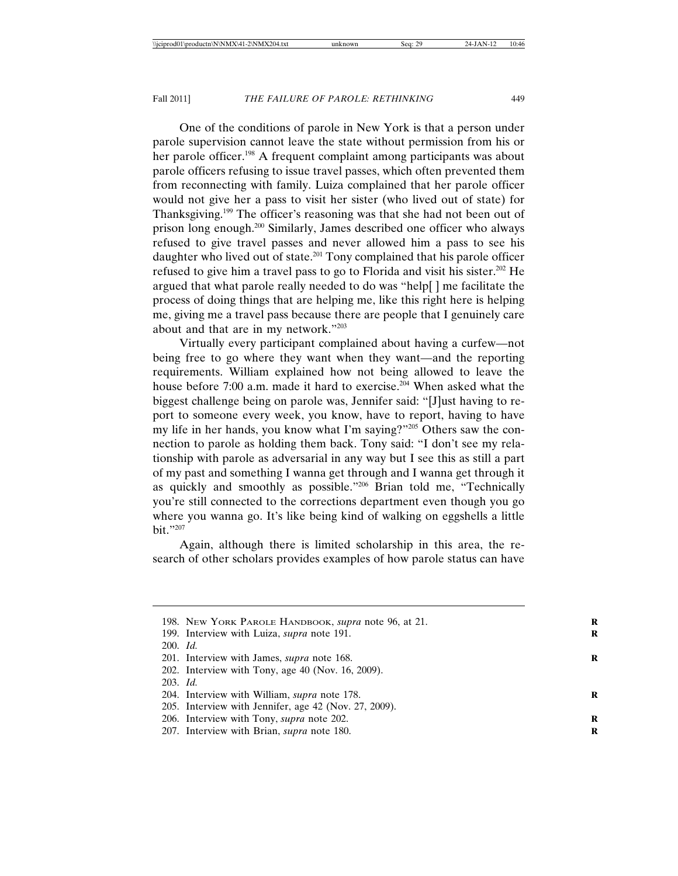One of the conditions of parole in New York is that a person under parole supervision cannot leave the state without permission from his or her parole officer.<sup>198</sup> A frequent complaint among participants was about parole officers refusing to issue travel passes, which often prevented them from reconnecting with family. Luiza complained that her parole officer would not give her a pass to visit her sister (who lived out of state) for Thanksgiving.199 The officer's reasoning was that she had not been out of prison long enough.200 Similarly, James described one officer who always refused to give travel passes and never allowed him a pass to see his daughter who lived out of state.<sup>201</sup> Tony complained that his parole officer refused to give him a travel pass to go to Florida and visit his sister.<sup>202</sup> He argued that what parole really needed to do was "help[ ] me facilitate the process of doing things that are helping me, like this right here is helping me, giving me a travel pass because there are people that I genuinely care about and that are in my network."203

Virtually every participant complained about having a curfew—not being free to go where they want when they want—and the reporting requirements. William explained how not being allowed to leave the house before 7:00 a.m. made it hard to exercise.<sup>204</sup> When asked what the biggest challenge being on parole was, Jennifer said: "[J]ust having to report to someone every week, you know, have to report, having to have my life in her hands, you know what I'm saying?"<sup>205</sup> Others saw the connection to parole as holding them back. Tony said: "I don't see my relationship with parole as adversarial in any way but I see this as still a part of my past and something I wanna get through and I wanna get through it as quickly and smoothly as possible."206 Brian told me, "Technically you're still connected to the corrections department even though you go where you wanna go. It's like being kind of walking on eggshells a little bit."207

Again, although there is limited scholarship in this area, the research of other scholars provides examples of how parole status can have

199. Interview with Luiza, *supra* note 191. **R**

203. *Id.*

- 206. Interview with Tony, *supra* note 202. **R**
- 207. Interview with Brian, *supra* note 180. **R**

<sup>198.</sup> NEW YORK PAROLE HANDBOOK, *supra* note 96, at 21. **R**

<sup>200.</sup> *Id.*

<sup>201.</sup> Interview with James, *supra* note 168. **R**

<sup>202.</sup> Interview with Tony, age 40 (Nov. 16, 2009).

<sup>204.</sup> Interview with William, *supra* note 178.

<sup>205.</sup> Interview with Jennifer, age 42 (Nov. 27, 2009).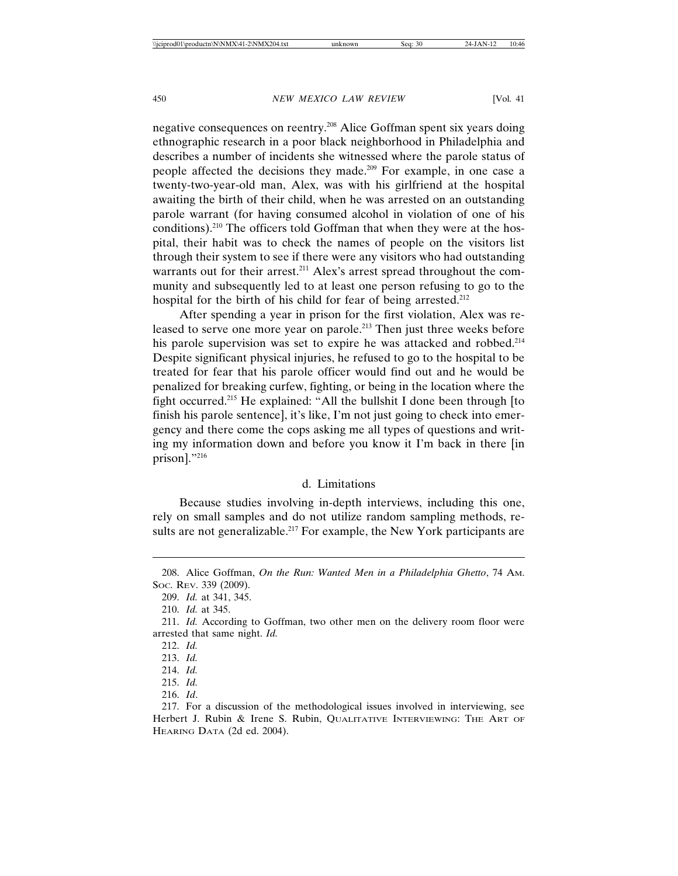negative consequences on reentry.208 Alice Goffman spent six years doing ethnographic research in a poor black neighborhood in Philadelphia and describes a number of incidents she witnessed where the parole status of people affected the decisions they made.209 For example, in one case a twenty-two-year-old man, Alex, was with his girlfriend at the hospital awaiting the birth of their child, when he was arrested on an outstanding parole warrant (for having consumed alcohol in violation of one of his conditions).210 The officers told Goffman that when they were at the hospital, their habit was to check the names of people on the visitors list through their system to see if there were any visitors who had outstanding warrants out for their arrest.<sup>211</sup> Alex's arrest spread throughout the community and subsequently led to at least one person refusing to go to the hospital for the birth of his child for fear of being arrested.<sup>212</sup>

After spending a year in prison for the first violation, Alex was released to serve one more year on parole.<sup>213</sup> Then just three weeks before his parole supervision was set to expire he was attacked and robbed.<sup>214</sup> Despite significant physical injuries, he refused to go to the hospital to be treated for fear that his parole officer would find out and he would be penalized for breaking curfew, fighting, or being in the location where the fight occurred.215 He explained: "All the bullshit I done been through [to finish his parole sentence], it's like, I'm not just going to check into emergency and there come the cops asking me all types of questions and writing my information down and before you know it I'm back in there [in prison]."216

## d. Limitations

Because studies involving in-depth interviews, including this one, rely on small samples and do not utilize random sampling methods, results are not generalizable.<sup>217</sup> For example, the New York participants are

<sup>208.</sup> Alice Goffman, *On the Run: Wanted Men in a Philadelphia Ghetto*, 74 AM. SOC. REV. 339 (2009).

<sup>209.</sup> *Id.* at 341, 345.

<sup>210.</sup> *Id.* at 345.

<sup>211.</sup> *Id.* According to Goffman, two other men on the delivery room floor were arrested that same night. *Id.*

<sup>212.</sup> *Id.*

<sup>213.</sup> *Id.*

<sup>214.</sup> *Id.*

<sup>215.</sup> *Id.*

<sup>216.</sup> *Id*.

<sup>217.</sup> For a discussion of the methodological issues involved in interviewing, see Herbert J. Rubin & Irene S. Rubin, QUALITATIVE INTERVIEWING: THE ART OF HEARING DATA (2d ed. 2004).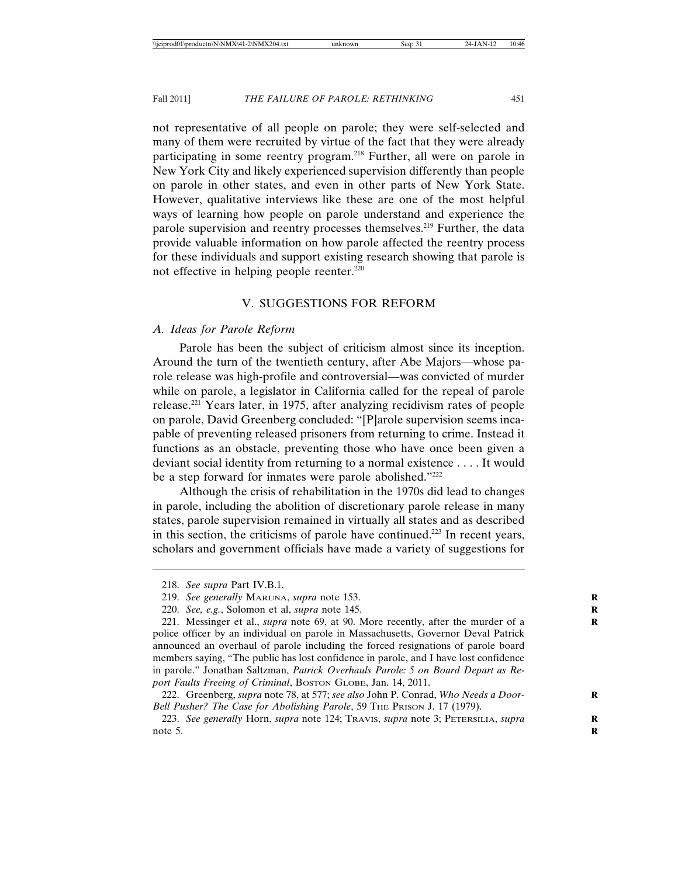not representative of all people on parole; they were self-selected and many of them were recruited by virtue of the fact that they were already participating in some reentry program.218 Further, all were on parole in New York City and likely experienced supervision differently than people on parole in other states, and even in other parts of New York State. However, qualitative interviews like these are one of the most helpful ways of learning how people on parole understand and experience the parole supervision and reentry processes themselves.<sup>219</sup> Further, the data provide valuable information on how parole affected the reentry process for these individuals and support existing research showing that parole is not effective in helping people reenter.<sup>220</sup>

## V. SUGGESTIONS FOR REFORM

#### *A. Ideas for Parole Reform*

Parole has been the subject of criticism almost since its inception. Around the turn of the twentieth century, after Abe Majors—whose parole release was high-profile and controversial—was convicted of murder while on parole, a legislator in California called for the repeal of parole release.221 Years later, in 1975, after analyzing recidivism rates of people on parole, David Greenberg concluded: "[P]arole supervision seems incapable of preventing released prisoners from returning to crime. Instead it functions as an obstacle, preventing those who have once been given a deviant social identity from returning to a normal existence . . . . It would be a step forward for inmates were parole abolished."222

Although the crisis of rehabilitation in the 1970s did lead to changes in parole, including the abolition of discretionary parole release in many states, parole supervision remained in virtually all states and as described in this section, the criticisms of parole have continued.223 In recent years, scholars and government officials have made a variety of suggestions for

<sup>218.</sup> *See supra* Part IV.B.1.

<sup>219.</sup> *See generally* MARUNA, *supra* note 153. **R**

<sup>220.</sup> *See, e.g.*, Solomon et al, *supra* note 145. **R**

<sup>221.</sup> Messinger et al., *supra* note 69, at 90. More recently, after the murder of a police officer by an individual on parole in Massachusetts, Governor Deval Patrick announced an overhaul of parole including the forced resignations of parole board members saying, "The public has lost confidence in parole, and I have lost confidence in parole." Jonathan Saltzman, *Patrick Overhauls Parole: 5 on Board Depart as Report Faults Freeing of Criminal*, BOSTON GLOBE, Jan. 14, 2011.

<sup>222.</sup> Greenberg, *supra* note 78, at 577; *see also* John P. Conrad, *Who Needs a Door-*Bell Pusher? The Case for Abolishing Parole, 59 THE PRISON J. 17 (1979).

<sup>223.</sup> See generally Horn, *supra* note 124; TRAVIS, *supra* note 3; PETERSILIA, *supra* note 5.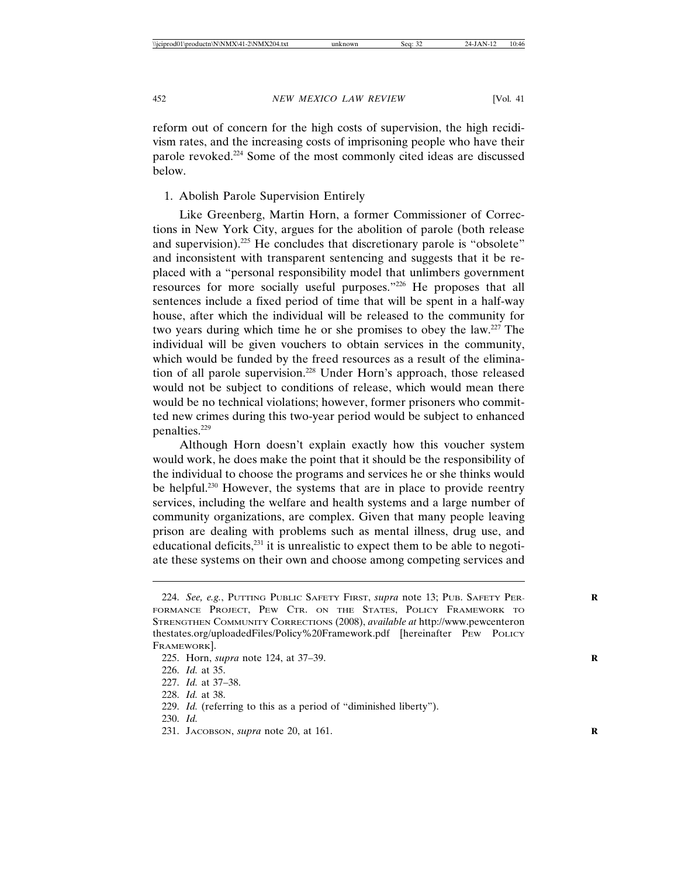reform out of concern for the high costs of supervision, the high recidivism rates, and the increasing costs of imprisoning people who have their parole revoked.<sup>224</sup> Some of the most commonly cited ideas are discussed below.

## 1. Abolish Parole Supervision Entirely

Like Greenberg, Martin Horn, a former Commissioner of Corrections in New York City, argues for the abolition of parole (both release and supervision).<sup>225</sup> He concludes that discretionary parole is "obsolete" and inconsistent with transparent sentencing and suggests that it be replaced with a "personal responsibility model that unlimbers government resources for more socially useful purposes."226 He proposes that all sentences include a fixed period of time that will be spent in a half-way house, after which the individual will be released to the community for two years during which time he or she promises to obey the law.227 The individual will be given vouchers to obtain services in the community, which would be funded by the freed resources as a result of the elimination of all parole supervision.228 Under Horn's approach, those released would not be subject to conditions of release, which would mean there would be no technical violations; however, former prisoners who committed new crimes during this two-year period would be subject to enhanced penalties.229

Although Horn doesn't explain exactly how this voucher system would work, he does make the point that it should be the responsibility of the individual to choose the programs and services he or she thinks would be helpful.<sup>230</sup> However, the systems that are in place to provide reentry services, including the welfare and health systems and a large number of community organizations, are complex. Given that many people leaving prison are dealing with problems such as mental illness, drug use, and educational deficits,<sup>231</sup> it is unrealistic to expect them to be able to negotiate these systems on their own and choose among competing services and

225. Horn, *supra* note 124, at 37–39. **R**

- 227. *Id.* at 37–38.
- 228. *Id.* at 38.
- 229. *Id.* (referring to this as a period of "diminished liberty").
- 230. *Id.*
- 231. JACOBSON, *supra* note 20, at 161. **R**

<sup>224.</sup> *See, e.g.*, PUTTING PUBLIC SAFETY FIRST, *supra* note 13; PUB. SAFETY PER- **R** FORMANCE PROJECT, PEW CTR. ON THE STATES, POLICY FRAMEWORK TO STRENGTHEN COMMUNITY CORRECTIONS (2008), *available at* http://www.pewcenteron thestates.org/uploadedFiles/Policy%20Framework.pdf [hereinafter PEW POLICY FRAMEWORK].

<sup>226.</sup> *Id.* at 35.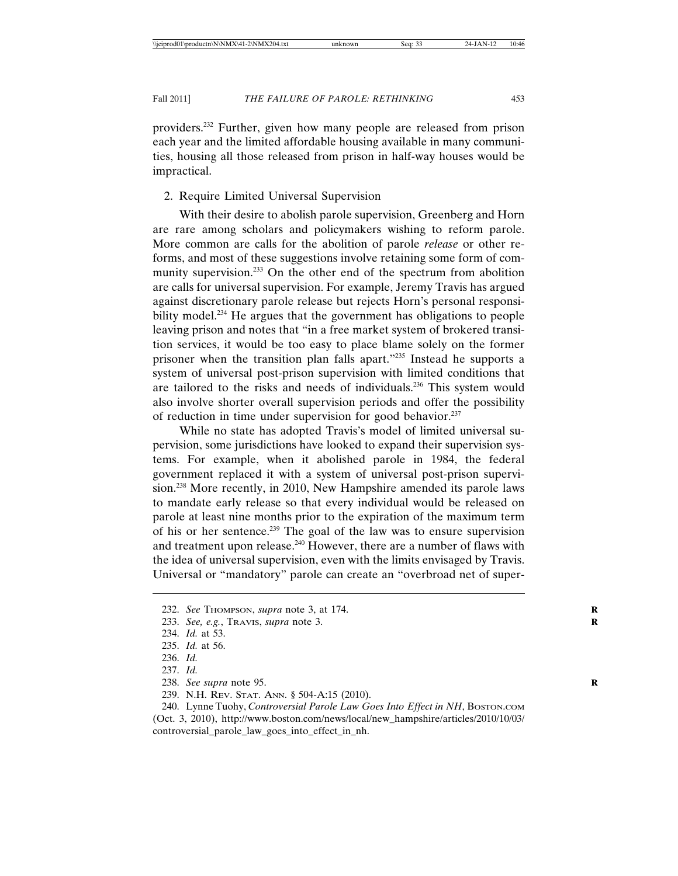providers.232 Further, given how many people are released from prison each year and the limited affordable housing available in many communities, housing all those released from prison in half-way houses would be impractical.

## 2. Require Limited Universal Supervision

With their desire to abolish parole supervision, Greenberg and Horn are rare among scholars and policymakers wishing to reform parole. More common are calls for the abolition of parole *release* or other reforms, and most of these suggestions involve retaining some form of community supervision.<sup>233</sup> On the other end of the spectrum from abolition are calls for universal supervision. For example, Jeremy Travis has argued against discretionary parole release but rejects Horn's personal responsibility model.<sup>234</sup> He argues that the government has obligations to people leaving prison and notes that "in a free market system of brokered transition services, it would be too easy to place blame solely on the former prisoner when the transition plan falls apart."235 Instead he supports a system of universal post-prison supervision with limited conditions that are tailored to the risks and needs of individuals.236 This system would also involve shorter overall supervision periods and offer the possibility of reduction in time under supervision for good behavior. $237$ 

While no state has adopted Travis's model of limited universal supervision, some jurisdictions have looked to expand their supervision systems. For example, when it abolished parole in 1984, the federal government replaced it with a system of universal post-prison supervision.<sup>238</sup> More recently, in 2010, New Hampshire amended its parole laws to mandate early release so that every individual would be released on parole at least nine months prior to the expiration of the maximum term of his or her sentence.239 The goal of the law was to ensure supervision and treatment upon release.<sup>240</sup> However, there are a number of flaws with the idea of universal supervision, even with the limits envisaged by Travis. Universal or "mandatory" parole can create an "overbroad net of super-

- 235. *Id.* at 56.
- 236. *Id.*
- 237. *Id.*
- 238. *See supra* note 95. **R**
- 239. N.H. REV. STAT. ANN. § 504-A:15 (2010).

240. Lynne Tuohy, *Controversial Parole Law Goes Into Effect in NH*, BOSTON.COM (Oct. 3, 2010), http://www.boston.com/news/local/new\_hampshire/articles/2010/10/03/ controversial\_parole\_law\_goes\_into\_effect\_in\_nh.

<sup>232.</sup> See THOMPSON, *supra* note 3, at 174.

<sup>233.</sup> *See, e.g.*, TRAVIS, *supra* note 3. **R**

<sup>234.</sup> *Id.* at 53.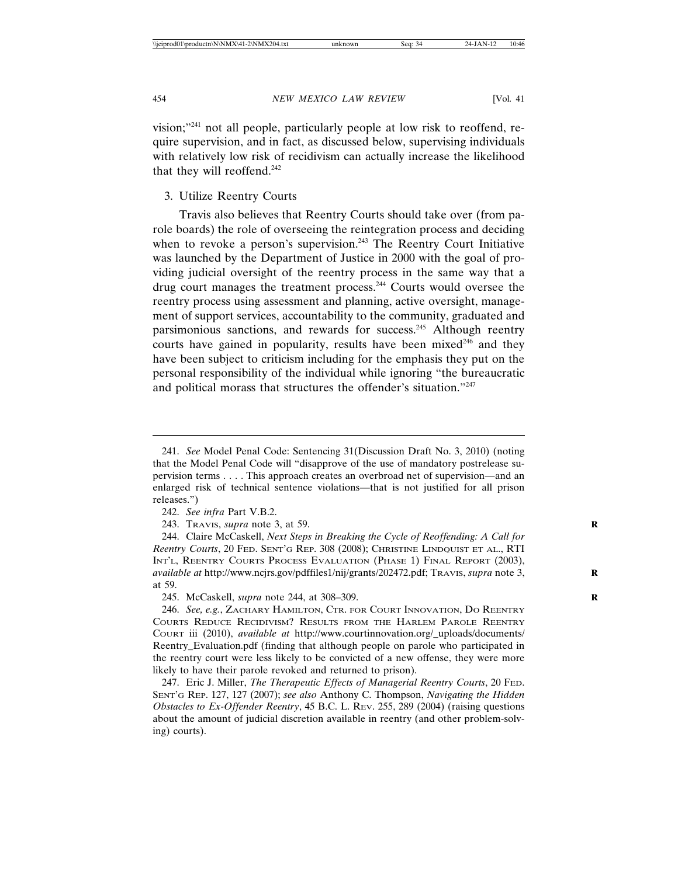vision;"241 not all people, particularly people at low risk to reoffend, require supervision, and in fact, as discussed below, supervising individuals with relatively low risk of recidivism can actually increase the likelihood that they will reoffend.242

## 3. Utilize Reentry Courts

Travis also believes that Reentry Courts should take over (from parole boards) the role of overseeing the reintegration process and deciding when to revoke a person's supervision.<sup>243</sup> The Reentry Court Initiative was launched by the Department of Justice in 2000 with the goal of providing judicial oversight of the reentry process in the same way that a drug court manages the treatment process.244 Courts would oversee the reentry process using assessment and planning, active oversight, management of support services, accountability to the community, graduated and parsimonious sanctions, and rewards for success.<sup>245</sup> Although reentry courts have gained in popularity, results have been mixed<sup>246</sup> and they have been subject to criticism including for the emphasis they put on the personal responsibility of the individual while ignoring "the bureaucratic and political morass that structures the offender's situation."247

<sup>241.</sup> *See* Model Penal Code: Sentencing 31(Discussion Draft No. 3, 2010) (noting that the Model Penal Code will "disapprove of the use of mandatory postrelease supervision terms . . . . This approach creates an overbroad net of supervision—and an enlarged risk of technical sentence violations—that is not justified for all prison releases.")

<sup>242.</sup> *See infra* Part V.B.2.

<sup>243.</sup> TRAVIS, *supra* note 3, at 59. **R**

<sup>244.</sup> Claire McCaskell, *Next Steps in Breaking the Cycle of Reoffending: A Call for Reentry Courts*, 20 FED. SENT'G REP. 308 (2008); CHRISTINE LINDQUIST ET AL., RTI INT'L, REENTRY COURTS PROCESS EVALUATION (PHASE 1) FINAL REPORT (2003), *available at* http://www.ncjrs.gov/pdffiles1/nij/grants/202472.pdf; TRAVIS, *supra* note 3, **R** at 59.

<sup>245.</sup> McCaskell, *supra* note 244, at 308–309. **R**

<sup>246.</sup> *See, e.g.*, ZACHARY HAMILTON, CTR. FOR COURT INNOVATION, DO REENTRY COURTS REDUCE RECIDIVISM? RESULTS FROM THE HARLEM PAROLE REENTRY COURT iii (2010), *available at* http://www.courtinnovation.org/\_uploads/documents/ Reentry\_Evaluation.pdf (finding that although people on parole who participated in the reentry court were less likely to be convicted of a new offense, they were more likely to have their parole revoked and returned to prison).

<sup>247.</sup> Eric J. Miller, *The Therapeutic Effects of Managerial Reentry Courts*, 20 FED. SENT'G REP. 127, 127 (2007); *see also* Anthony C. Thompson, *Navigating the Hidden Obstacles to Ex-Offender Reentry*, 45 B.C. L. REV. 255, 289 (2004) (raising questions about the amount of judicial discretion available in reentry (and other problem-solving) courts).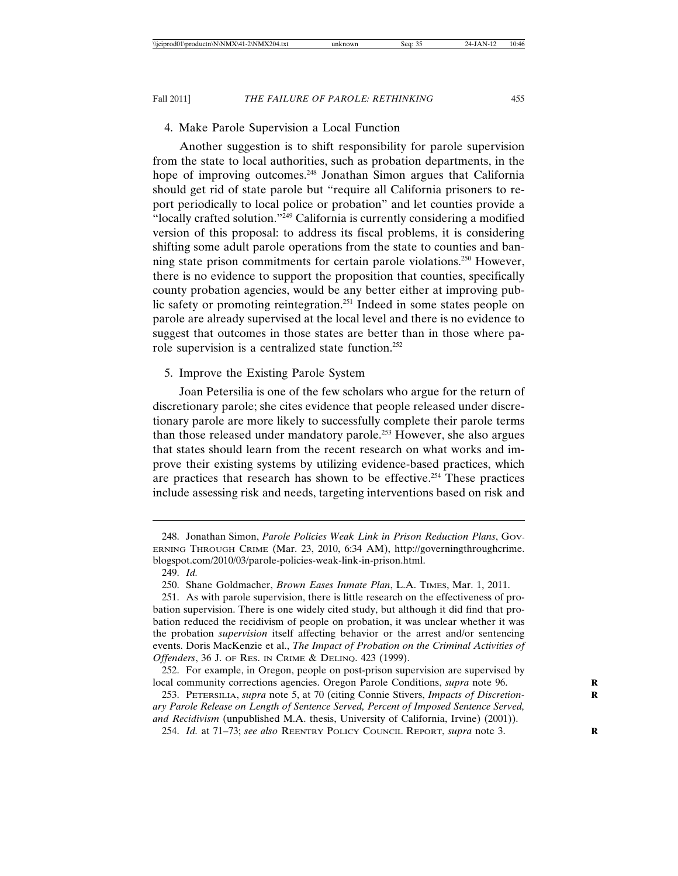## 4. Make Parole Supervision a Local Function

Another suggestion is to shift responsibility for parole supervision from the state to local authorities, such as probation departments, in the hope of improving outcomes.<sup>248</sup> Jonathan Simon argues that California should get rid of state parole but "require all California prisoners to report periodically to local police or probation" and let counties provide a "locally crafted solution."249 California is currently considering a modified version of this proposal: to address its fiscal problems, it is considering shifting some adult parole operations from the state to counties and banning state prison commitments for certain parole violations.250 However, there is no evidence to support the proposition that counties, specifically county probation agencies, would be any better either at improving public safety or promoting reintegration.<sup>251</sup> Indeed in some states people on parole are already supervised at the local level and there is no evidence to suggest that outcomes in those states are better than in those where parole supervision is a centralized state function.252

## 5. Improve the Existing Parole System

Joan Petersilia is one of the few scholars who argue for the return of discretionary parole; she cites evidence that people released under discretionary parole are more likely to successfully complete their parole terms than those released under mandatory parole.<sup>253</sup> However, she also argues that states should learn from the recent research on what works and improve their existing systems by utilizing evidence-based practices, which are practices that research has shown to be effective.<sup>254</sup> These practices include assessing risk and needs, targeting interventions based on risk and

253. PETERSILIA, *supra* note 5, at 70 (citing Connie Stivers, *Impacts of Discretion-* **R** *ary Parole Release on Length of Sentence Served, Percent of Imposed Sentence Served, and Recidivism* (unpublished M.A. thesis, University of California, Irvine) (2001)).

254. *Id.* at 71-73; see also REENTRY POLICY COUNCIL REPORT, supra note 3.

<sup>248.</sup> Jonathan Simon, *Parole Policies Weak Link in Prison Reduction Plans*, GOV-ERNING THROUGH CRIME (Mar. 23, 2010, 6:34 AM), http://governingthroughcrime. blogspot.com/2010/03/parole-policies-weak-link-in-prison.html.

<sup>249.</sup> *Id.*

<sup>250.</sup> Shane Goldmacher, *Brown Eases Inmate Plan*, L.A. TIMES, Mar. 1, 2011.

<sup>251.</sup> As with parole supervision, there is little research on the effectiveness of probation supervision. There is one widely cited study, but although it did find that probation reduced the recidivism of people on probation, it was unclear whether it was the probation *supervision* itself affecting behavior or the arrest and/or sentencing events. Doris MacKenzie et al., *The Impact of Probation on the Criminal Activities of Offenders*, 36 J. OF RES. IN CRIME & DELINQ. 423 (1999).

<sup>252.</sup> For example, in Oregon, people on post-prison supervision are supervised by local community corrections agencies. Oregon Parole Conditions, *supra* note 96.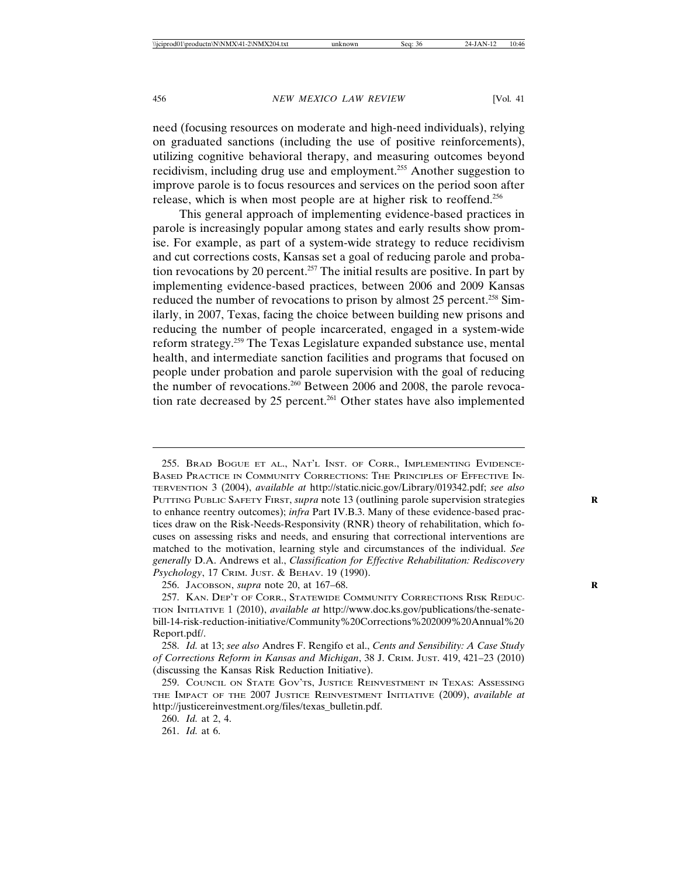need (focusing resources on moderate and high-need individuals), relying on graduated sanctions (including the use of positive reinforcements), utilizing cognitive behavioral therapy, and measuring outcomes beyond recidivism, including drug use and employment.255 Another suggestion to improve parole is to focus resources and services on the period soon after release, which is when most people are at higher risk to reoffend.256

This general approach of implementing evidence-based practices in parole is increasingly popular among states and early results show promise. For example, as part of a system-wide strategy to reduce recidivism and cut corrections costs, Kansas set a goal of reducing parole and probation revocations by 20 percent.257 The initial results are positive. In part by implementing evidence-based practices, between 2006 and 2009 Kansas reduced the number of revocations to prison by almost 25 percent.<sup>258</sup> Similarly, in 2007, Texas, facing the choice between building new prisons and reducing the number of people incarcerated, engaged in a system-wide reform strategy.259 The Texas Legislature expanded substance use, mental health, and intermediate sanction facilities and programs that focused on people under probation and parole supervision with the goal of reducing the number of revocations.<sup>260</sup> Between 2006 and 2008, the parole revocation rate decreased by 25 percent.<sup>261</sup> Other states have also implemented

256. JACOBSON, *supra* note 20, at 167–68. **R**

<sup>255.</sup> BRAD BOGUE ET AL., NAT'L INST. OF CORR., IMPLEMENTING EVIDENCE-BASED PRACTICE IN COMMUNITY CORRECTIONS: THE PRINCIPLES OF EFFECTIVE IN-TERVENTION 3 (2004), *available at* http://static.nicic.gov/Library/019342.pdf; *see also* PUTTING PUBLIC SAFETY FIRST, *supra* note 13 (outlining parole supervision strategies **R** to enhance reentry outcomes); *infra* Part IV.B.3. Many of these evidence-based practices draw on the Risk-Needs-Responsivity (RNR) theory of rehabilitation, which focuses on assessing risks and needs, and ensuring that correctional interventions are matched to the motivation, learning style and circumstances of the individual. *See generally* D.A. Andrews et al., *Classification for Effective Rehabilitation: Rediscovery Psychology*, 17 CRIM. JUST. & BEHAV. 19 (1990).

<sup>257.</sup> KAN. DEP'T OF CORR., STATEWIDE COMMUNITY CORRECTIONS RISK REDUC-TION INITIATIVE 1 (2010), *available at* http://www.doc.ks.gov/publications/the-senatebill-14-risk-reduction-initiative/Community%20Corrections%202009%20Annual%20 Report.pdf/.

<sup>258.</sup> *Id.* at 13; *see also* Andres F. Rengifo et al., *Cents and Sensibility: A Case Study of Corrections Reform in Kansas and Michigan*, 38 J. CRIM. JUST. 419, 421–23 (2010) (discussing the Kansas Risk Reduction Initiative).

<sup>259.</sup> COUNCIL ON STATE GOV'TS, JUSTICE REINVESTMENT IN TEXAS: ASSESSING THE IMPACT OF THE 2007 JUSTICE REINVESTMENT INITIATIVE (2009), *available at* http://justicereinvestment.org/files/texas\_bulletin.pdf.

<sup>260.</sup> *Id.* at 2, 4.

<sup>261.</sup> *Id.* at 6.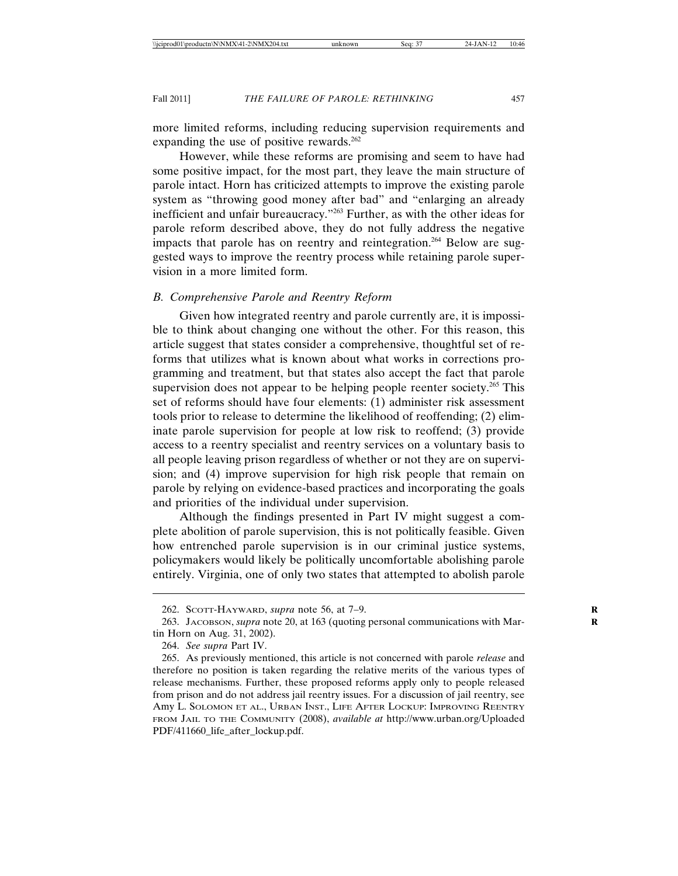more limited reforms, including reducing supervision requirements and expanding the use of positive rewards.<sup>262</sup>

However, while these reforms are promising and seem to have had some positive impact, for the most part, they leave the main structure of parole intact. Horn has criticized attempts to improve the existing parole system as "throwing good money after bad" and "enlarging an already inefficient and unfair bureaucracy."263 Further, as with the other ideas for parole reform described above, they do not fully address the negative impacts that parole has on reentry and reintegration.<sup>264</sup> Below are suggested ways to improve the reentry process while retaining parole supervision in a more limited form.

## *B. Comprehensive Parole and Reentry Reform*

Given how integrated reentry and parole currently are, it is impossible to think about changing one without the other. For this reason, this article suggest that states consider a comprehensive, thoughtful set of reforms that utilizes what is known about what works in corrections programming and treatment, but that states also accept the fact that parole supervision does not appear to be helping people reenter society.<sup>265</sup> This set of reforms should have four elements: (1) administer risk assessment tools prior to release to determine the likelihood of reoffending; (2) eliminate parole supervision for people at low risk to reoffend; (3) provide access to a reentry specialist and reentry services on a voluntary basis to all people leaving prison regardless of whether or not they are on supervision; and (4) improve supervision for high risk people that remain on parole by relying on evidence-based practices and incorporating the goals and priorities of the individual under supervision.

Although the findings presented in Part IV might suggest a complete abolition of parole supervision, this is not politically feasible. Given how entrenched parole supervision is in our criminal justice systems, policymakers would likely be politically uncomfortable abolishing parole entirely. Virginia, one of only two states that attempted to abolish parole

<sup>262.</sup> SCOTT-HAYWARD, *supra* note 56, at 7–9. **R**

<sup>263.</sup> JACOBSON, *supra* note 20, at 163 (quoting personal communications with Mar- **R** tin Horn on Aug. 31, 2002).

<sup>264.</sup> *See supra* Part IV.

<sup>265.</sup> As previously mentioned, this article is not concerned with parole *release* and therefore no position is taken regarding the relative merits of the various types of release mechanisms. Further, these proposed reforms apply only to people released from prison and do not address jail reentry issues. For a discussion of jail reentry, see Amy L. SOLOMON ET AL., URBAN INST., LIFE AFTER LOCKUP: IMPROVING REENTRY FROM JAIL TO THE COMMUNITY (2008), *available at* http://www.urban.org/Uploaded PDF/411660\_life\_after\_lockup.pdf.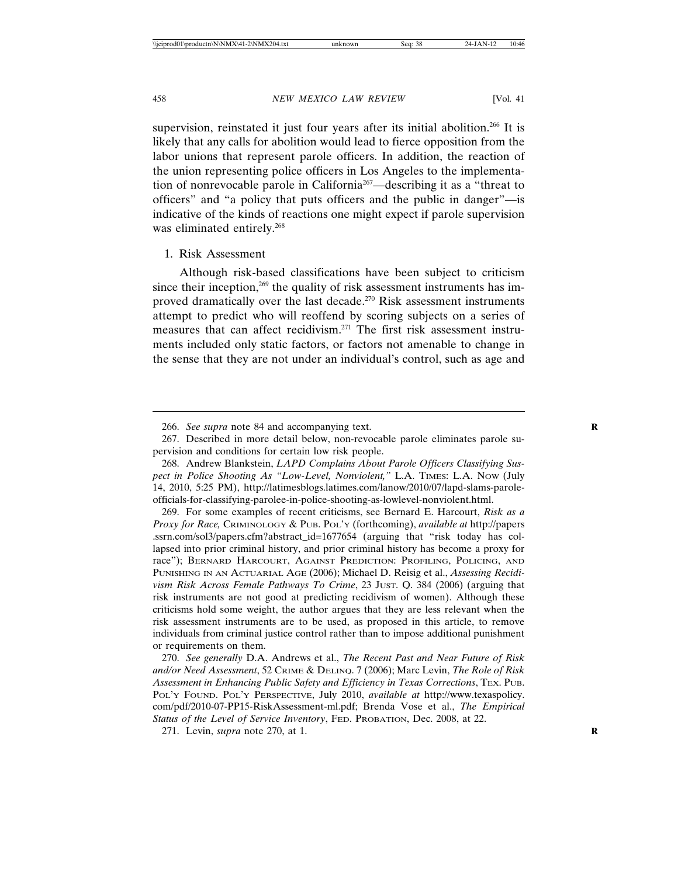supervision, reinstated it just four years after its initial abolition.<sup>266</sup> It is likely that any calls for abolition would lead to fierce opposition from the labor unions that represent parole officers. In addition, the reaction of the union representing police officers in Los Angeles to the implementation of nonrevocable parole in California267—describing it as a "threat to officers" and "a policy that puts officers and the public in danger"—is indicative of the kinds of reactions one might expect if parole supervision was eliminated entirely.<sup>268</sup>

1. Risk Assessment

Although risk-based classifications have been subject to criticism since their inception, $269$  the quality of risk assessment instruments has improved dramatically over the last decade.270 Risk assessment instruments attempt to predict who will reoffend by scoring subjects on a series of measures that can affect recidivism.271 The first risk assessment instruments included only static factors, or factors not amenable to change in the sense that they are not under an individual's control, such as age and

270. *See generally* D.A. Andrews et al., *The Recent Past and Near Future of Risk and/or Need Assessment*, 52 CRIME & DELINQ. 7 (2006); Marc Levin, *The Role of Risk Assessment in Enhancing Public Safety and Efficiency in Texas Corrections*, TEX. PUB. POL'Y FOUND. POL'Y PERSPECTIVE, July 2010, *available at* http://www.texaspolicy. com/pdf/2010-07-PP15-RiskAssessment-ml.pdf; Brenda Vose et al., *The Empirical Status of the Level of Service Inventory*, FED. PROBATION, Dec. 2008, at 22.

<sup>266.</sup> *See supra* note 84 and accompanying text. **R**

<sup>267.</sup> Described in more detail below, non-revocable parole eliminates parole supervision and conditions for certain low risk people.

<sup>268.</sup> Andrew Blankstein, *LAPD Complains About Parole Officers Classifying Suspect in Police Shooting As "Low-Level, Nonviolent,"* L.A. TIMES: L.A. NOW (July 14, 2010, 5:25 PM), http://latimesblogs.latimes.com/lanow/2010/07/lapd-slams-paroleofficials-for-classifying-parolee-in-police-shooting-as-lowlevel-nonviolent.html.

<sup>269.</sup> For some examples of recent criticisms, see Bernard E. Harcourt, *Risk as a Proxy for Race,* CRIMINOLOGY & PUB. POL'Y (forthcoming), *available at* http://papers .ssrn.com/sol3/papers.cfm?abstract\_id=1677654 (arguing that "risk today has collapsed into prior criminal history, and prior criminal history has become a proxy for race"); BERNARD HARCOURT, AGAINST PREDICTION: PROFILING, POLICING, AND PUNISHING IN AN ACTUARIAL AGE (2006); Michael D. Reisig et al., *Assessing Recidivism Risk Across Female Pathways To Crime*, 23 JUST. Q. 384 (2006) (arguing that risk instruments are not good at predicting recidivism of women). Although these criticisms hold some weight, the author argues that they are less relevant when the risk assessment instruments are to be used, as proposed in this article, to remove individuals from criminal justice control rather than to impose additional punishment or requirements on them.

<sup>271.</sup> Levin, *supra* note 270, at 1. **R**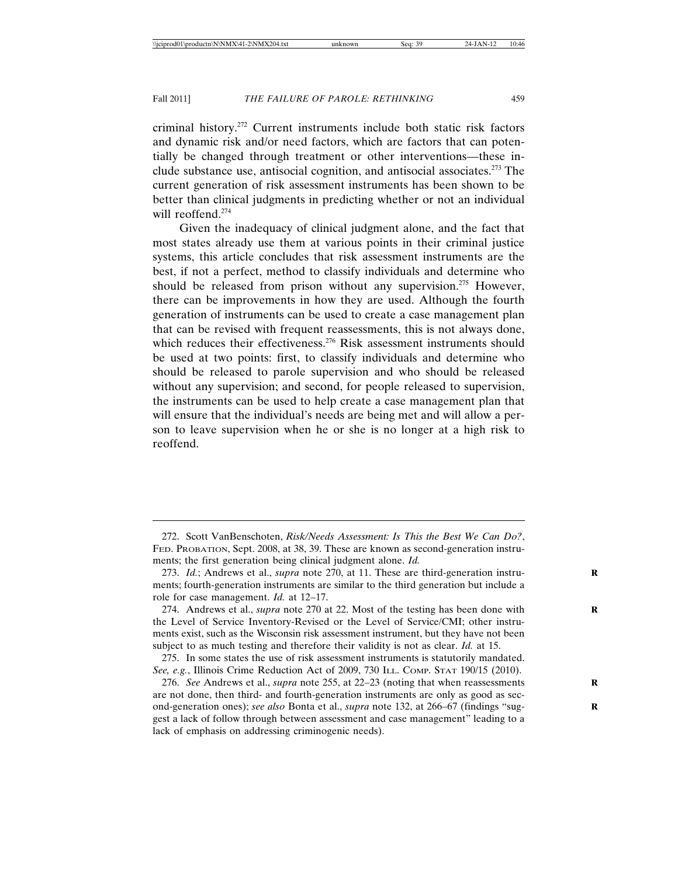criminal history.272 Current instruments include both static risk factors and dynamic risk and/or need factors, which are factors that can potentially be changed through treatment or other interventions—these include substance use, antisocial cognition, and antisocial associates.273 The current generation of risk assessment instruments has been shown to be better than clinical judgments in predicting whether or not an individual will reoffend.<sup>274</sup>

Given the inadequacy of clinical judgment alone, and the fact that most states already use them at various points in their criminal justice systems, this article concludes that risk assessment instruments are the best, if not a perfect, method to classify individuals and determine who should be released from prison without any supervision.<sup>275</sup> However, there can be improvements in how they are used. Although the fourth generation of instruments can be used to create a case management plan that can be revised with frequent reassessments, this is not always done, which reduces their effectiveness.<sup>276</sup> Risk assessment instruments should be used at two points: first, to classify individuals and determine who should be released to parole supervision and who should be released without any supervision; and second, for people released to supervision, the instruments can be used to help create a case management plan that will ensure that the individual's needs are being met and will allow a person to leave supervision when he or she is no longer at a high risk to reoffend.

<sup>272.</sup> Scott VanBenschoten, *Risk/Needs Assessment: Is This the Best We Can Do?*, FED. PROBATION, Sept. 2008, at 38, 39. These are known as second-generation instruments; the first generation being clinical judgment alone. *Id.*

<sup>273.</sup> *Id.*; Andrews et al., *supra* note 270, at 11. These are third-generation instruments; fourth-generation instruments are similar to the third generation but include a role for case management. *Id.* at 12–17.

<sup>274.</sup> Andrews et al., *supra* note 270 at 22. Most of the testing has been done with the Level of Service Inventory-Revised or the Level of Service/CMI; other instruments exist, such as the Wisconsin risk assessment instrument, but they have not been subject to as much testing and therefore their validity is not as clear. *Id.* at 15.

<sup>275.</sup> In some states the use of risk assessment instruments is statutorily mandated. *See, e.g.*, Illinois Crime Reduction Act of 2009, 730 ILL. COMP. STAT 190/15 (2010).

<sup>276.</sup> *See* Andrews et al., *supra* note 255, at 22–23 (noting that when reassessments **R** are not done, then third- and fourth-generation instruments are only as good as second-generation ones); *see also* Bonta et al., *supra* note 132, at 266-67 (findings "suggest a lack of follow through between assessment and case management" leading to a lack of emphasis on addressing criminogenic needs).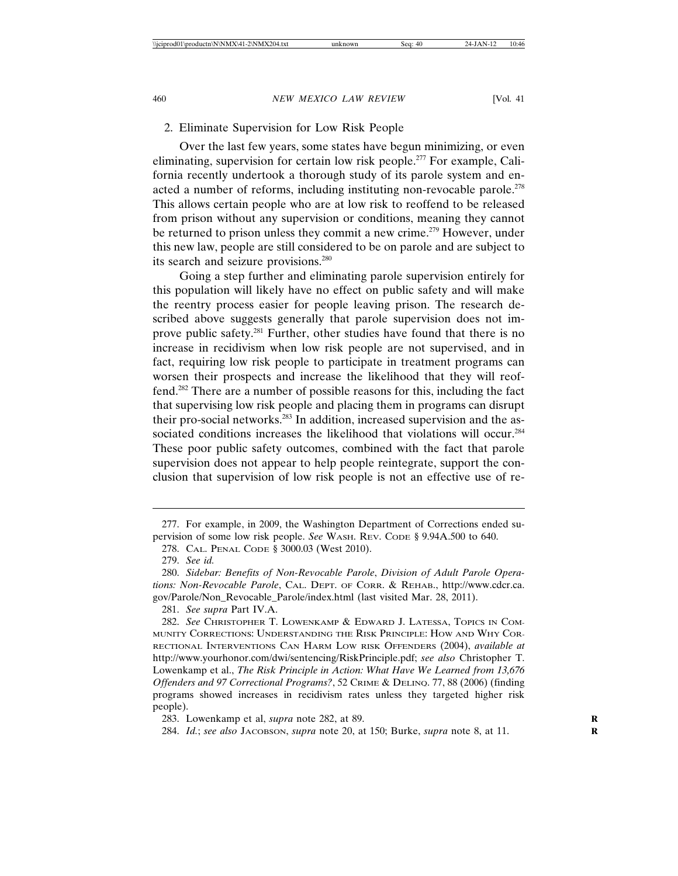## 2. Eliminate Supervision for Low Risk People

Over the last few years, some states have begun minimizing, or even eliminating, supervision for certain low risk people.277 For example, California recently undertook a thorough study of its parole system and enacted a number of reforms, including instituting non-revocable parole.<sup>278</sup> This allows certain people who are at low risk to reoffend to be released from prison without any supervision or conditions, meaning they cannot be returned to prison unless they commit a new crime.<sup>279</sup> However, under this new law, people are still considered to be on parole and are subject to its search and seizure provisions.<sup>280</sup>

Going a step further and eliminating parole supervision entirely for this population will likely have no effect on public safety and will make the reentry process easier for people leaving prison. The research described above suggests generally that parole supervision does not improve public safety.281 Further, other studies have found that there is no increase in recidivism when low risk people are not supervised, and in fact, requiring low risk people to participate in treatment programs can worsen their prospects and increase the likelihood that they will reoffend.282 There are a number of possible reasons for this, including the fact that supervising low risk people and placing them in programs can disrupt their pro-social networks.283 In addition, increased supervision and the associated conditions increases the likelihood that violations will occur.<sup>284</sup> These poor public safety outcomes, combined with the fact that parole supervision does not appear to help people reintegrate, support the conclusion that supervision of low risk people is not an effective use of re-

278. CAL. PENAL CODE § 3000.03 (West 2010).

281. *See supra* Part IV.A.

<sup>277.</sup> For example, in 2009, the Washington Department of Corrections ended supervision of some low risk people. *See* WASH. REV. CODE § 9.94A.500 to 640.

<sup>279.</sup> *See id.*

<sup>280.</sup> *Sidebar: Benefits of Non-Revocable Parole*, *Division of Adult Parole Operations: Non-Revocable Parole*, CAL. DEPT. OF CORR. & REHAB., http://www.cdcr.ca. gov/Parole/Non\_Revocable\_Parole/index.html (last visited Mar. 28, 2011).

<sup>282.</sup> *See* CHRISTOPHER T. LOWENKAMP & EDWARD J. LATESSA, TOPICS IN COM-MUNITY CORRECTIONS: UNDERSTANDING THE RISK PRINCIPLE: HOW AND WHY COR-RECTIONAL INTERVENTIONS CAN HARM LOW RISK OFFENDERS (2004), *available at* http://www.yourhonor.com/dwi/sentencing/RiskPrinciple.pdf; *see also* Christopher T. Lowenkamp et al., *The Risk Principle in Action: What Have We Learned from 13,676 Offenders and 97 Correctional Programs?*, 52 CRIME & DELINQ. 77, 88 (2006) (finding programs showed increases in recidivism rates unless they targeted higher risk people).

<sup>283.</sup> Lowenkamp et al, *supra* note 282, at 89. **R**

<sup>284.</sup> *Id.*; *see also* JACOBSON, *supra* note 20, at 150; Burke, *supra* note 8, at 11.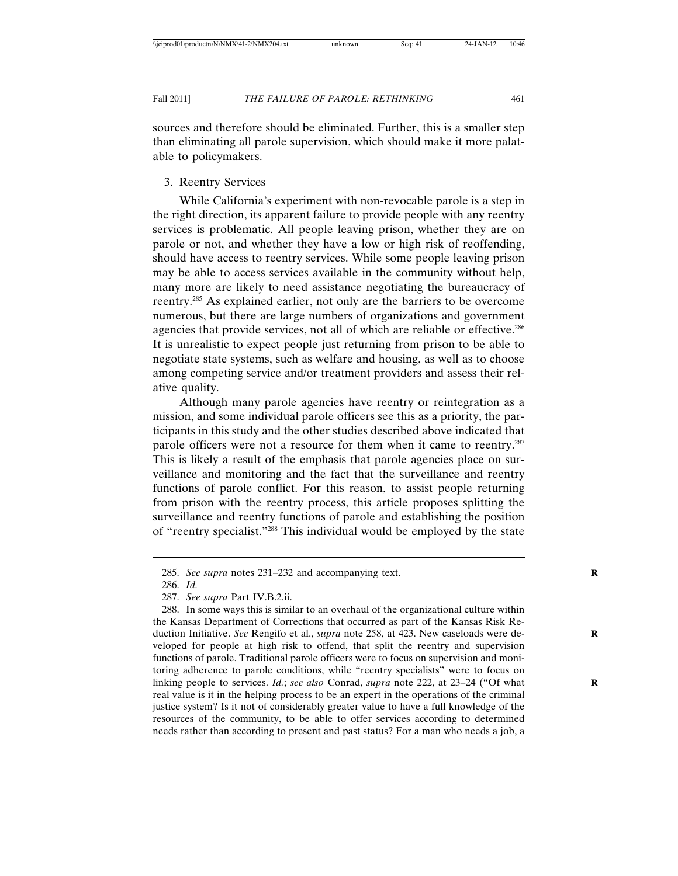sources and therefore should be eliminated. Further, this is a smaller step than eliminating all parole supervision, which should make it more palatable to policymakers.

#### 3. Reentry Services

While California's experiment with non-revocable parole is a step in the right direction, its apparent failure to provide people with any reentry services is problematic. All people leaving prison, whether they are on parole or not, and whether they have a low or high risk of reoffending, should have access to reentry services. While some people leaving prison may be able to access services available in the community without help, many more are likely to need assistance negotiating the bureaucracy of reentry.285 As explained earlier, not only are the barriers to be overcome numerous, but there are large numbers of organizations and government agencies that provide services, not all of which are reliable or effective.<sup>286</sup> It is unrealistic to expect people just returning from prison to be able to negotiate state systems, such as welfare and housing, as well as to choose among competing service and/or treatment providers and assess their relative quality.

Although many parole agencies have reentry or reintegration as a mission, and some individual parole officers see this as a priority, the participants in this study and the other studies described above indicated that parole officers were not a resource for them when it came to reentry.<sup>287</sup> This is likely a result of the emphasis that parole agencies place on surveillance and monitoring and the fact that the surveillance and reentry functions of parole conflict. For this reason, to assist people returning from prison with the reentry process, this article proposes splitting the surveillance and reentry functions of parole and establishing the position of "reentry specialist."288 This individual would be employed by the state

<sup>285.</sup> *See supra* notes 231–232 and accompanying text. **R**

<sup>286.</sup> *Id.*

<sup>287.</sup> *See supra* Part IV.B.2.ii.

<sup>288.</sup> In some ways this is similar to an overhaul of the organizational culture within the Kansas Department of Corrections that occurred as part of the Kansas Risk Reduction Initiative. *See* Rengifo et al., *supra* note 258, at 423. New caseloads were developed for people at high risk to offend, that split the reentry and supervision functions of parole. Traditional parole officers were to focus on supervision and monitoring adherence to parole conditions, while "reentry specialists" were to focus on linking people to services. *Id.*; *see also* Conrad, *supra* note 222, at 23–24 ("Of what real value is it in the helping process to be an expert in the operations of the criminal justice system? Is it not of considerably greater value to have a full knowledge of the resources of the community, to be able to offer services according to determined needs rather than according to present and past status? For a man who needs a job, a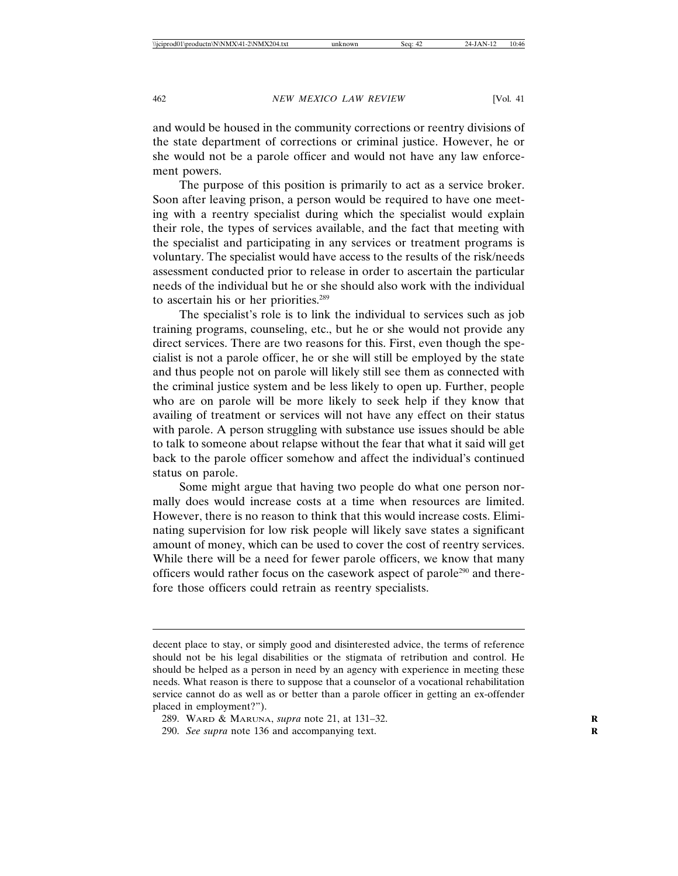and would be housed in the community corrections or reentry divisions of the state department of corrections or criminal justice. However, he or she would not be a parole officer and would not have any law enforcement powers.

The purpose of this position is primarily to act as a service broker. Soon after leaving prison, a person would be required to have one meeting with a reentry specialist during which the specialist would explain their role, the types of services available, and the fact that meeting with the specialist and participating in any services or treatment programs is voluntary. The specialist would have access to the results of the risk/needs assessment conducted prior to release in order to ascertain the particular needs of the individual but he or she should also work with the individual to ascertain his or her priorities.<sup>289</sup>

The specialist's role is to link the individual to services such as job training programs, counseling, etc., but he or she would not provide any direct services. There are two reasons for this. First, even though the specialist is not a parole officer, he or she will still be employed by the state and thus people not on parole will likely still see them as connected with the criminal justice system and be less likely to open up. Further, people who are on parole will be more likely to seek help if they know that availing of treatment or services will not have any effect on their status with parole. A person struggling with substance use issues should be able to talk to someone about relapse without the fear that what it said will get back to the parole officer somehow and affect the individual's continued status on parole.

Some might argue that having two people do what one person normally does would increase costs at a time when resources are limited. However, there is no reason to think that this would increase costs. Eliminating supervision for low risk people will likely save states a significant amount of money, which can be used to cover the cost of reentry services. While there will be a need for fewer parole officers, we know that many officers would rather focus on the casework aspect of parole<sup>290</sup> and therefore those officers could retrain as reentry specialists.

decent place to stay, or simply good and disinterested advice, the terms of reference should not be his legal disabilities or the stigmata of retribution and control. He should be helped as a person in need by an agency with experience in meeting these needs. What reason is there to suppose that a counselor of a vocational rehabilitation service cannot do as well as or better than a parole officer in getting an ex-offender placed in employment?").

<sup>289.</sup> WARD & MARUNA, *supra* note 21, at 131–32. **R**

<sup>290.</sup> *See supra* note 136 and accompanying text.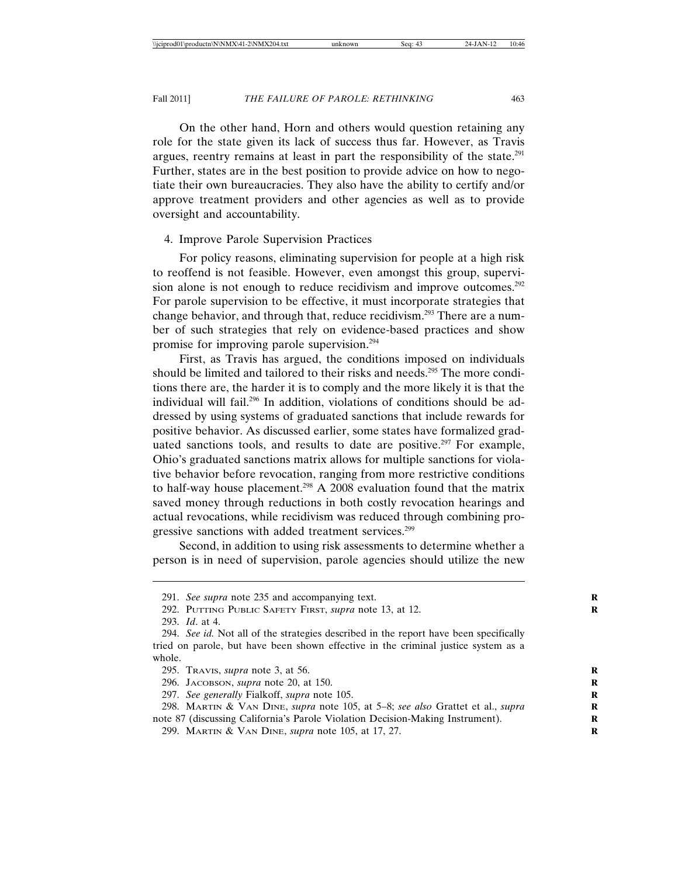On the other hand, Horn and others would question retaining any role for the state given its lack of success thus far. However, as Travis argues, reentry remains at least in part the responsibility of the state.<sup>291</sup> Further, states are in the best position to provide advice on how to negotiate their own bureaucracies. They also have the ability to certify and/or approve treatment providers and other agencies as well as to provide oversight and accountability.

#### 4. Improve Parole Supervision Practices

For policy reasons, eliminating supervision for people at a high risk to reoffend is not feasible. However, even amongst this group, supervision alone is not enough to reduce recidivism and improve outcomes.<sup>292</sup> For parole supervision to be effective, it must incorporate strategies that change behavior, and through that, reduce recidivism.<sup>293</sup> There are a number of such strategies that rely on evidence-based practices and show promise for improving parole supervision.294

First, as Travis has argued, the conditions imposed on individuals should be limited and tailored to their risks and needs.<sup>295</sup> The more conditions there are, the harder it is to comply and the more likely it is that the individual will fail.296 In addition, violations of conditions should be addressed by using systems of graduated sanctions that include rewards for positive behavior. As discussed earlier, some states have formalized graduated sanctions tools, and results to date are positive.<sup>297</sup> For example, Ohio's graduated sanctions matrix allows for multiple sanctions for violative behavior before revocation, ranging from more restrictive conditions to half-way house placement.<sup>298</sup> A 2008 evaluation found that the matrix saved money through reductions in both costly revocation hearings and actual revocations, while recidivism was reduced through combining progressive sanctions with added treatment services.<sup>299</sup>

Second, in addition to using risk assessments to determine whether a person is in need of supervision, parole agencies should utilize the new

<sup>291.</sup> *See supra* note 235 and accompanying text. **R**

<sup>292.</sup> PUTTING PUBLIC SAFETY FIRST, *supra* note 13, at 12. **R**

<sup>293.</sup> *Id*. at 4.

<sup>294.</sup> *See id.* Not all of the strategies described in the report have been specifically tried on parole, but have been shown effective in the criminal justice system as a whole.

<sup>295.</sup> TRAVIS, *supra* note 3, at 56. **R**

<sup>296.</sup> JACOBSON, *supra* note 20, at 150. **R**

<sup>297.</sup> *See generally* Fialkoff, *supra* note 105. **R**

<sup>298.</sup> MARTIN & VAN DINE, *supra* note 105, at 5–8; *see also* Grattet et al., *supra* **R** note 87 (discussing California's Parole Violation Decision-Making Instrument). **R**

<sup>299.</sup> MARTIN & VAN DINE, *supra* note 105, at 17, 27. **R**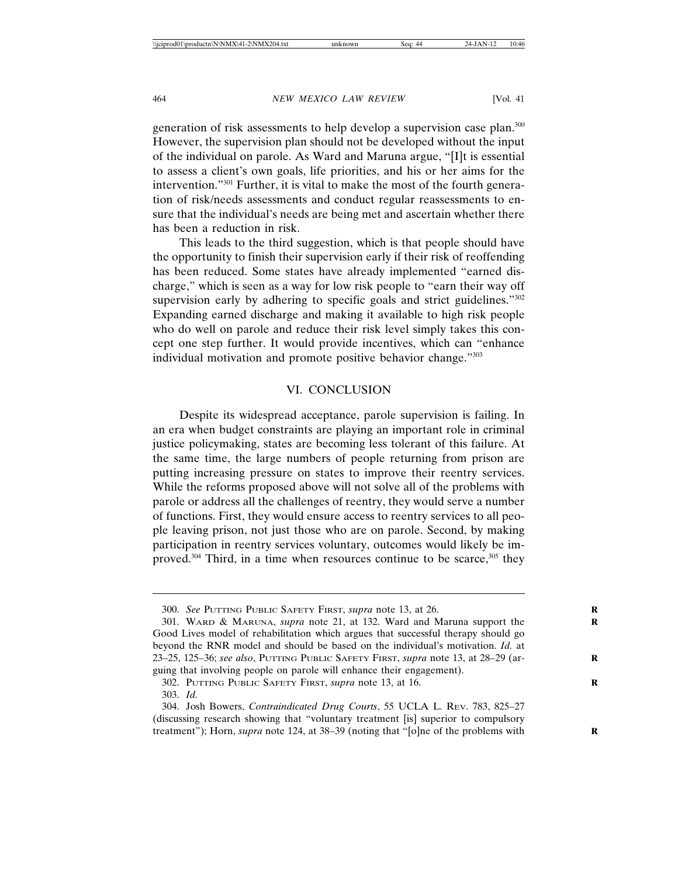generation of risk assessments to help develop a supervision case plan.<sup>300</sup> However, the supervision plan should not be developed without the input of the individual on parole. As Ward and Maruna argue, "[I]t is essential to assess a client's own goals, life priorities, and his or her aims for the intervention."301 Further, it is vital to make the most of the fourth generation of risk/needs assessments and conduct regular reassessments to ensure that the individual's needs are being met and ascertain whether there has been a reduction in risk.

This leads to the third suggestion, which is that people should have the opportunity to finish their supervision early if their risk of reoffending has been reduced. Some states have already implemented "earned discharge," which is seen as a way for low risk people to "earn their way off supervision early by adhering to specific goals and strict guidelines."<sup>302</sup> Expanding earned discharge and making it available to high risk people who do well on parole and reduce their risk level simply takes this concept one step further. It would provide incentives, which can "enhance individual motivation and promote positive behavior change."303

#### VI. CONCLUSION

Despite its widespread acceptance, parole supervision is failing. In an era when budget constraints are playing an important role in criminal justice policymaking, states are becoming less tolerant of this failure. At the same time, the large numbers of people returning from prison are putting increasing pressure on states to improve their reentry services. While the reforms proposed above will not solve all of the problems with parole or address all the challenges of reentry, they would serve a number of functions. First, they would ensure access to reentry services to all people leaving prison, not just those who are on parole. Second, by making participation in reentry services voluntary, outcomes would likely be improved.<sup>304</sup> Third, in a time when resources continue to be scarce, $305$  they

<sup>300.</sup> *See* PUTTING PUBLIC SAFETY FIRST, *supra* note 13, at 26. **R**

<sup>301.</sup> WARD & MARUNA, *supra* note 21, at 132. Ward and Maruna support the **R** Good Lives model of rehabilitation which argues that successful therapy should go beyond the RNR model and should be based on the individual's motivation. *Id.* at 23–25, 125–36; *see also*, PUTTING PUBLIC SAFETY FIRST, *supra* note 13, at 28–29 (ar- **R** guing that involving people on parole will enhance their engagement).

<sup>302.</sup> PUTTING PUBLIC SAFETY FIRST, *supra* note 13, at 16. **R**

<sup>303.</sup> *Id.*

<sup>304.</sup> Josh Bowers, *Contraindicated Drug Courts*, 55 UCLA L. REV. 783, 825–27 (discussing research showing that "voluntary treatment [is] superior to compulsory treatment"); Horn, *supra* note 124, at 38–39 (noting that "[o]ne of the problems with